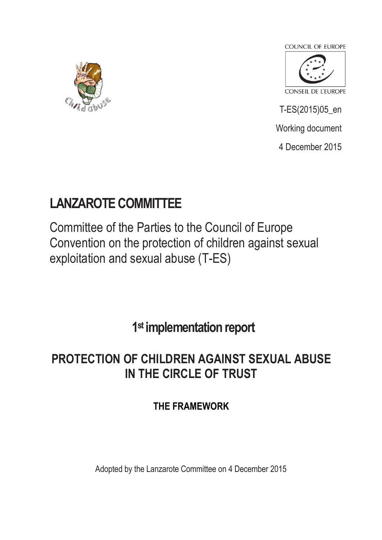

**COUNCIL OF EUROPE** CONSEIL DE L'EUROPE

T-ES(2015)05\_en Working document 4 December 2015

# **LANZAROTE COMMITTEE**

Committee of the Parties to the Council of Europe Convention on the protection of children against sexual exploitation and sexual abuse (T-ES)

**1 st implementation report**

# **PROTECTION OF CHILDREN AGAINST SEXUAL ABUSE IN THE CIRCLE OF TRUST**

## **THE FRAMEWORK**

Adopted by the Lanzarote Committee on 4 December 2015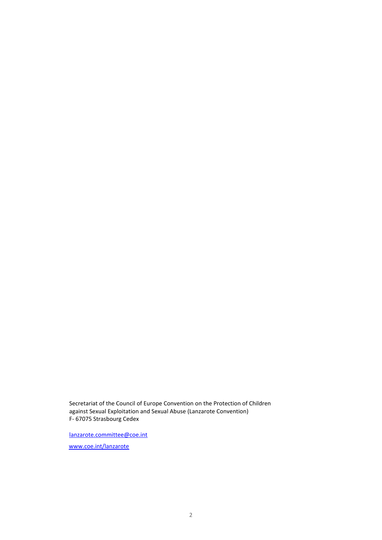Secretariat of the Council of Europe Convention on the Protection of Children against Sexual Exploitation and Sexual Abuse (Lanzarote Convention) F- 67075 Strasbourg Cedex

[lanzarote.committee@coe.int](mailto:lanzarote.committee@coe.int)

[www.coe.int/lanzarote](http://www.coe.int/lanzarote)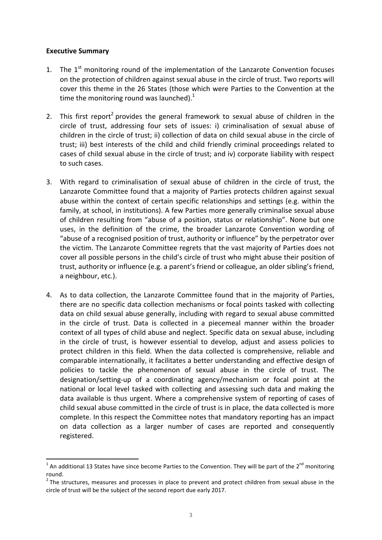### **Executive Summary**

 $\overline{a}$ 

- 1. The  $1<sup>st</sup>$  monitoring round of the implementation of the Lanzarote Convention focuses on the protection of children against sexual abuse in the circle of trust. Two reports will cover this theme in the 26 States (those which were Parties to the Convention at the time the monitoring round was launched). $1$
- [2](#page-2-1). This first report<sup>2</sup> provides the general framework to sexual abuse of children in the circle of trust, addressing four sets of issues: i) criminalisation of sexual abuse of children in the circle of trust; ii) collection of data on child sexual abuse in the circle of trust; iii) best interests of the child and child friendly criminal proceedings related to cases of child sexual abuse in the circle of trust; and iv) corporate liability with respect to such cases.
- 3. With regard to criminalisation of sexual abuse of children in the circle of trust, the Lanzarote Committee found that a majority of Parties protects children against sexual abuse within the context of certain specific relationships and settings (e.g. within the family, at school, in institutions). A few Parties more generally criminalise sexual abuse of children resulting from "abuse of a position, status or relationship". None but one uses, in the definition of the crime, the broader Lanzarote Convention wording of "abuse of a recognised position of trust, authority or influence" by the perpetrator over the victim. The Lanzarote Committee regrets that the vast majority of Parties does not cover all possible persons in the child's circle of trust who might abuse their position of trust, authority or influence (e.g. a parent's friend or colleague, an older sibling's friend, a neighbour, etc.).
- 4. As to data collection, the Lanzarote Committee found that in the majority of Parties, there are no specific data collection mechanisms or focal points tasked with collecting data on child sexual abuse generally, including with regard to sexual abuse committed in the circle of trust. Data is collected in a piecemeal manner within the broader context of all types of child abuse and neglect. Specific data on sexual abuse, including in the circle of trust, is however essential to develop, adjust and assess policies to protect children in this field. When the data collected is comprehensive, reliable and comparable internationally, it facilitates a better understanding and effective design of policies to tackle the phenomenon of sexual abuse in the circle of trust. The designation/setting-up of a coordinating agency/mechanism or focal point at the national or local level tasked with collecting and assessing such data and making the data available is thus urgent. Where a comprehensive system of reporting of cases of child sexual abuse committed in the circle of trust is in place, the data collected is more complete. In this respect the Committee notes that mandatory reporting has an impact on data collection as a larger number of cases are reported and consequently registered.

<span id="page-2-0"></span><sup>&</sup>lt;sup>1</sup> An additional 13 States have since become Parties to the Convention. They will be part of the 2<sup>nd</sup> monitoring round.

<span id="page-2-1"></span> $2$  The structures, measures and processes in place to prevent and protect children from sexual abuse in the circle of trust will be the subject of the second report due early 2017.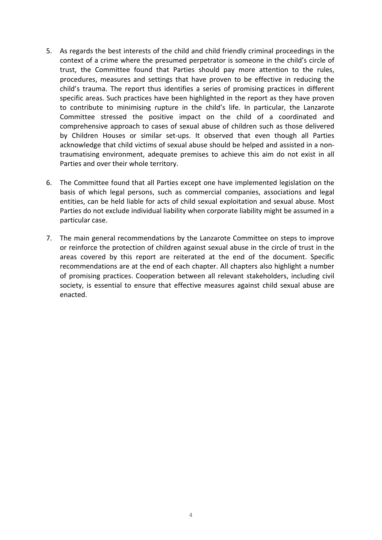- 5. As regards the best interests of the child and child friendly criminal proceedings in the context of a crime where the presumed perpetrator is someone in the child's circle of trust, the Committee found that Parties should pay more attention to the rules, procedures, measures and settings that have proven to be effective in reducing the child's trauma. The report thus identifies a series of promising practices in different specific areas. Such practices have been highlighted in the report as they have proven to contribute to minimising rupture in the child's life. In particular, the Lanzarote Committee stressed the positive impact on the child of a coordinated and comprehensive approach to cases of sexual abuse of children such as those delivered by Children Houses or similar set-ups. It observed that even though all Parties acknowledge that child victims of sexual abuse should be helped and assisted in a nontraumatising environment, adequate premises to achieve this aim do not exist in all Parties and over their whole territory.
- 6. The Committee found that all Parties except one have implemented legislation on the basis of which legal persons, such as commercial companies, associations and legal entities, can be held liable for acts of child sexual exploitation and sexual abuse. Most Parties do not exclude individual liability when corporate liability might be assumed in a particular case.
- 7. The main general recommendations by the Lanzarote Committee on steps to improve or reinforce the protection of children against sexual abuse in the circle of trust in the areas covered by this report are reiterated at the end of the document. Specific recommendations are at the end of each chapter. All chapters also highlight a number of promising practices. Cooperation between all relevant stakeholders, including civil society, is essential to ensure that effective measures against child sexual abuse are enacted.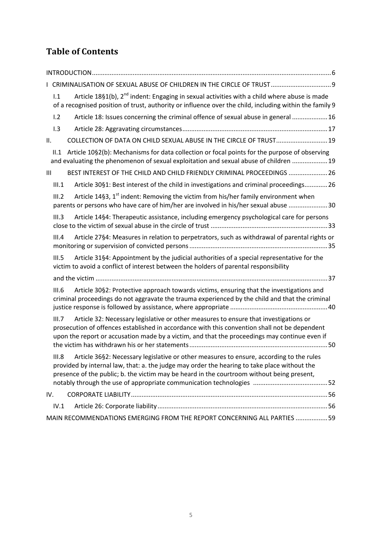## **Table of Contents**

<span id="page-4-0"></span>

| I CRIMINALISATION OF SEXUAL ABUSE OF CHILDREN IN THE CIRCLE OF TRUST  9                                                                                                                                                                                                                         |
|-------------------------------------------------------------------------------------------------------------------------------------------------------------------------------------------------------------------------------------------------------------------------------------------------|
| Article 18§1(b), 2 <sup>nd</sup> indent: Engaging in sexual activities with a child where abuse is made<br>1.1<br>of a recognised position of trust, authority or influence over the child, including within the family 9                                                                       |
| Article 18: Issues concerning the criminal offence of sexual abuse in general  16<br>1.2                                                                                                                                                                                                        |
| 1.3                                                                                                                                                                                                                                                                                             |
| COLLECTION OF DATA ON CHILD SEXUAL ABUSE IN THE CIRCLE OF TRUST 19<br>ΙΙ.                                                                                                                                                                                                                       |
| II.1 Article 10§2(b): Mechanisms for data collection or focal points for the purpose of observing<br>and evaluating the phenomenon of sexual exploitation and sexual abuse of children  19                                                                                                      |
| BEST INTEREST OF THE CHILD AND CHILD FRIENDLY CRIMINAL PROCEEDINGS  26<br>Ш                                                                                                                                                                                                                     |
| Article 30§1: Best interest of the child in investigations and criminal proceedings 26<br>III.1                                                                                                                                                                                                 |
| Article 14§3, 1 <sup>st</sup> indent: Removing the victim from his/her family environment when<br>III.2<br>parents or persons who have care of him/her are involved in his/her sexual abuse 30                                                                                                  |
| III.3<br>Article 14§4: Therapeutic assistance, including emergency psychological care for persons                                                                                                                                                                                               |
| Article 27§4: Measures in relation to perpetrators, such as withdrawal of parental rights or<br>III.4                                                                                                                                                                                           |
| Article 31§4: Appointment by the judicial authorities of a special representative for the<br>III.5<br>victim to avoid a conflict of interest between the holders of parental responsibility                                                                                                     |
|                                                                                                                                                                                                                                                                                                 |
| Article 30§2: Protective approach towards victims, ensuring that the investigations and<br>III.6<br>criminal proceedings do not aggravate the trauma experienced by the child and that the criminal                                                                                             |
| Article 32: Necessary legislative or other measures to ensure that investigations or<br>III.7<br>prosecution of offences established in accordance with this convention shall not be dependent<br>upon the report or accusation made by a victim, and that the proceedings may continue even if |
| III.8 Article 36§2: Necessary legislative or other measures to ensure, according to the rules<br>provided by internal law, that: a. the judge may order the hearing to take place without the<br>presence of the public; b. the victim may be heard in the courtroom without being present,     |
| IV.                                                                                                                                                                                                                                                                                             |
| IV.1                                                                                                                                                                                                                                                                                            |
| MAIN RECOMMENDATIONS EMERGING FROM THE REPORT CONCERNING ALL PARTIES  59                                                                                                                                                                                                                        |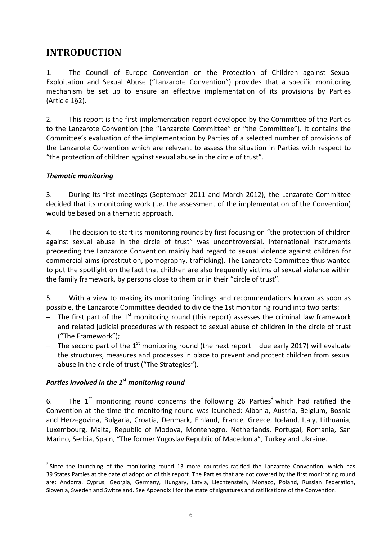## **INTRODUCTION**

1. The Council of Europe Convention on the Protection of Children against Sexual Exploitation and Sexual Abuse (["Lanzarote Convention"](http://www.coe.int/t/dghl/standardsetting/children/text_convention_EN.asp?)) provides that a specific monitoring mechanism be set up to ensure an effective implementation of its provisions by Parties (Article 1§2).

2. This report is the first implementation report developed by the Committee of the Parties to the Lanzarote Convention (the "Lanzarote Committee" or "the Committee"). It contains the Committee's evaluation of the implementation by Parties of a selected number of provisions of the Lanzarote Convention which are relevant to assess the situation in Parties with respect to "the protection of children against sexual abuse in the circle of trust".

## *Thematic monitoring*

3. During its first meetings (September 2011 and March 2012), the Lanzarote Committee decided that its monitoring work (i.e. the assessment of the implementation of the Convention) would be based on a thematic approach.

4. The decision to start its monitoring rounds by first focusing on "the protection of children against sexual abuse in the circle of trust" was uncontroversial. International instruments preceeding the Lanzarote Convention mainly had regard to sexual violence against children for commercial aims (prostitution, pornography, trafficking). The Lanzarote Committee thus wanted to put the spotlight on the fact that children are also frequently victims of sexual violence within the family framework, by persons close to them or in their "circle of trust".

5. With a view to making its monitoring findings and recommendations known as soon as possible, the Lanzarote Committee decided to divide the 1st monitoring round into two parts:

- $-$  The first part of the  $1<sup>st</sup>$  monitoring round (this report) assesses the criminal law framework and related judicial procedures with respect to sexual abuse of children in the circle of trust ("The Framework");
- $-$  The second part of the 1<sup>st</sup> monitoring round (the next report  $-$  due early 2017) will evaluate the structures, measures and processes in place to prevent and protect children from sexual abuse in the circle of trust ("The Strategies").

## *Parties involved in the 1st monitoring round*

 $\overline{a}$ 

6. The  $1^{st}$  monitoring round concerns the following 26 Parties<sup>[3](#page-5-0)</sup> which had ratified the Convention at the time the monitoring round was launched: Albania, Austria, Belgium, Bosnia and Herzegovina, Bulgaria, Croatia, Denmark, Finland, France, Greece, Iceland, Italy, Lithuania, Luxembourg, Malta, Republic of Modova, Montenegro, Netherlands, Portugal, Romania, San Marino, Serbia, Spain, "The former Yugoslav Republic of Macedonia", Turkey and Ukraine.

<span id="page-5-0"></span><sup>&</sup>lt;sup>3</sup> Since the launching of the monitoring round 13 more countries ratified the Lanzarote Convention, which has 39 States Parties at the date of adoption of this report. The Parties that are not covered by the first moniroting round are: Andorra, Cyprus, Georgia, Germany, Hungary, Latvia, Liechtenstein, Monaco, Poland, Russian Federation, Slovenia, Sweden and Switzeland. See Appendix I for the state of signatures and ratifications of the Convention.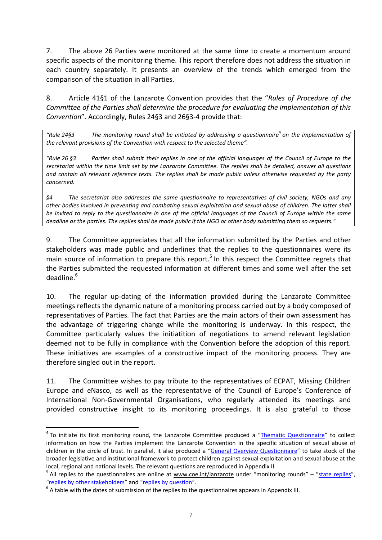7. The above 26 Parties were monitored at the same time to create a momentum around specific aspects of the monitoring theme. This report therefore does not address the situation in each country separately. It presents an overview of the trends which emerged from the comparison of the situation in all Parties.

8. Article 41§1 of the Lanzarote Convention provides that the "*Rules of Procedure of the Committee of the Parties shall determine the procedure for evaluating the implementation of this Convention*". Accordingly, Rules 24§3 and 26§3-4 provide that:

"Rule 2[4](#page-6-0)§3 The monitoring round shall be initiated by addressing a questionnaire<sup>4</sup> on the implementation of *the relevant provisions of the Convention with respect to the selected theme".*

*"Rule 26 §3 Parties shall submit their replies in one of the official languages of the Council of Europe to the secretariat within the time limit set by the Lanzarote Committee. The replies shall be detailed, answer all questions and contain all relevant reference texts. The replies shall be made public unless otherwise requested by the party concerned.*

*§4 The secretariat also addresses the same questionnaire to representatives of civil society, NGOs and any other bodies involved in preventing and combating sexual exploitation and sexual abuse of children. The latter shall be invited to reply to the questionnaire in one of the official languages of the Council of Europe within the same deadline as the parties. The replies shall be made public if the NGO or other body submitting them so requests."*

9. The Committee appreciates that all the information submitted by the Parties and other stakeholders was made public and underlines that the replies to the questionnaires were its main source of information to prepare this report.<sup>[5](#page-6-1)</sup> In this respect the Committee regrets that the Parties submitted the requested information at different times and some well after the set deadline.[6](#page-6-2)

10. The regular up-dating of the information provided during the Lanzarote Committee meetings reflects the dynamic nature of a monitoring process carried out by a body composed of representatives of Parties. The fact that Parties are the main actors of their own assessment has the advantage of triggering change while the monitoring is underway. In this respect, the Committee particularly values the initiatition of negotiations to amend relevant legislation deemed not to be fully in compliance with the Convention before the adoption of this report. These initiatives are examples of a constructive impact of the monitoring process. They are therefore singled out in the report.

11. The Committee wishes to pay tribute to the representatives of ECPAT, Missing Children Europe and eNasco, as well as the representative of the Council of Europe's Conference of International Non-Governmental Organisations, who regularly attended its meetings and provided constructive insight to its monitoring proceedings. It is also grateful to those

<u>.</u>

<span id="page-6-0"></span><sup>&</sup>lt;sup>4</sup> To initiate its first monitoring round, the Lanzarote Committee produced a ["Thematic Questionnaire"](http://www.coe.int/t/dghl/standardsetting/children/T-ES(2013)03_en%201st%20ROUND%20questionnaire%20as%20finalised.pdf) to collect information on how the Parties implement the Lanzarote Convention in the specific situation of sexual abuse of children in the circle of trust. In parallel, it also produced a ["General Overview Questionnaire"](http://www.coe.int/t/dghl/standardsetting/children/T-ES(2013)02_en%20GENERAL%20OVERVIEW%20questionnaire%20as%20finalised.pdf) to take stock of the broader legislative and institutional framework to protect children against sexual exploitation and sexual abuse at the local, regional and national levels. The relevant questions are reproduced in Appendix II.

<span id="page-6-1"></span><sup>&</sup>lt;sup>5</sup> All replies to the questionnaires are online at [www.coe.int/lanzarote](http://www.coe.int/lanzarote) under "monitoring rounds" – ["state replies"](http://www.coe.int/en/web/children/state-replies), ["replies by other stakeholders"](http://www.coe.int/en/web/children/replies-from-other-stakeholders) and ["replies by question"](http://www.coe.int/en/web/children/replies-per-question).

<span id="page-6-2"></span> $^6$  A table with the dates of submission of the replies to the questionnaires appears in Appendix III.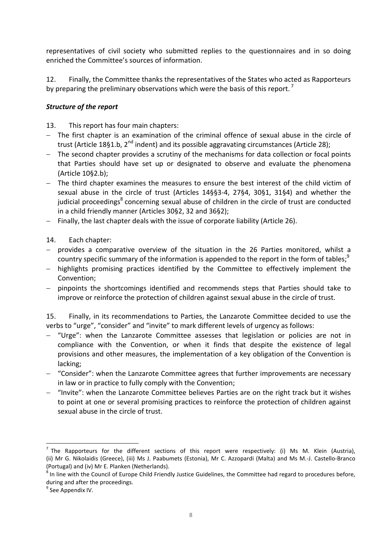representatives of civil society who submitted replies to the questionnaires and in so doing enriched the Committee's sources of information.

12. Finally, the Committee thanks the representatives of the States who acted as Rapporteurs by preparing the preliminary observations which were the basis of this report.<sup>[7](#page-7-0)</sup>

## *Structure of the report*

13. This report has four main chapters:

- The first chapter is an examination of the criminal offence of sexual abuse in the circle of trust (Article 18§1.b,  $2^{nd}$  indent) and its possible aggravating circumstances (Article 28);
- The second chapter provides a scrutiny of the mechanisms for data collection or focal points that Parties should have set up or designated to observe and evaluate the phenomena (Article 10§2.b);
- The third chapter examines the measures to ensure the best interest of the child victim of sexual abuse in the circle of trust (Articles 14§§3-4, 27§4, 30§1, 31§4) and whether the judicial proceedings<sup>[8](#page-7-1)</sup> concerning sexual abuse of children in the circle of trust are conducted in a child friendly manner (Articles 30§2, 32 and 36§2);
- $-$  Finally, the last chapter deals with the issue of corporate liability (Article 26).
- 14. Each chapter:
- $-$  provides a comparative overview of the situation in the 26 Parties monitored, whilst a country specific summary of the information is appended to the report in the form of tables;<sup>[9](#page-7-2)</sup>
- highlights promising practices identified by the Committee to effectively implement the Convention;
- pinpoints the shortcomings identified and recommends steps that Parties should take to improve or reinforce the protection of children against sexual abuse in the circle of trust.

15. Finally, in its recommendations to Parties, the Lanzarote Committee decided to use the verbs to "urge", "consider" and "invite" to mark different levels of urgency as follows:

- "Urge": when the Lanzarote Committee assesses that legislation or policies are not in compliance with the Convention, or when it finds that despite the existence of legal provisions and other measures, the implementation of a key obligation of the Convention is lacking;
- "Consider": when the Lanzarote Committee agrees that further improvements are necessary in law or in practice to fully comply with the Convention;
- "Invite": when the Lanzarote Committee believes Parties are on the right track but it wishes to point at one or several promising practices to reinforce the protection of children against sexual abuse in the circle of trust.

 $\overline{a}$ 

<span id="page-7-0"></span> $^7$  The Rapporteurs for the different sections of this report were respectively: (i) Ms M. Klein (Austria), (ii) Mr G. Nikolaidis (Greece), (iii) Ms J. Paabumets (Estonia), Mr C. Azzopardi (Malta) and Ms M.-J. Castello-Branco (Portugal) and (iv) Mr E. Planken (Netherlands).

<span id="page-7-1"></span><sup>8</sup> In line with the Council of Europe Child Friendly Justice Guidelines, the Committee had regard to procedures before, during and after the proceedings.

<span id="page-7-2"></span><sup>&</sup>lt;sup>9</sup> See Appendix IV.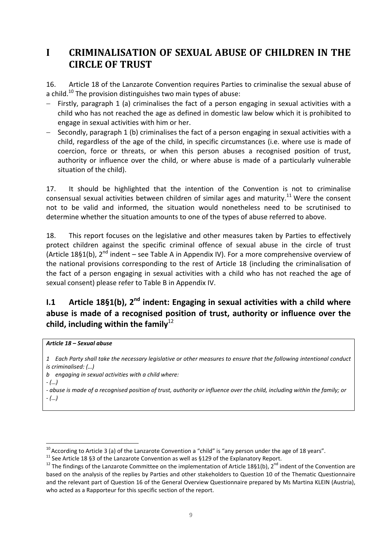## <span id="page-8-1"></span>**I CRIMINALISATION OF SEXUAL ABUSE OF CHILDREN IN THE CIRCLE OF TRUST**

16. Article 18 of the Lanzarote Convention requires Parties to criminalise the sexual abuse of a child.<sup>[10](#page-8-2)</sup> The provision distinguishes two main types of abuse:

- $-$  Firstly, paragraph 1 (a) criminalises the fact of a person engaging in sexual activities with a child who has not reached the age as defined in domestic law below which it is prohibited to engage in sexual activities with him or her.
- Secondly, paragraph 1 (b) criminalises the fact of a person engaging in sexual activities with a child, regardless of the age of the child, in specific circumstances (i.e. where use is made of coercion, force or threats, or when this person abuses a recognised position of trust, authority or influence over the child, or where abuse is made of a particularly vulnerable situation of the child).

17. It should be highlighted that the intention of the Convention is not to criminalise consensual sexual activities between children of similar ages and maturity.<sup>[11](#page-8-3)</sup> Were the consent not to be valid and informed, the situation would nonetheless need to be scrutinised to determine whether the situation amounts to one of the types of abuse referred to above.

18. This report focuses on the legislative and other measures taken by Parties to effectively protect children against the specific criminal offence of sexual abuse in the circle of trust (Article 18§1(b),  $2^{nd}$  indent – see Table A in Appendix IV). For a more comprehensive overview of the national provisions corresponding to the rest of Article 18 (including the criminalisation of the fact of a person engaging in sexual activities with a child who has not reached the age of sexual consent) please refer to Table B in Appendix IV.

## <span id="page-8-0"></span>**I.1** Article 18§1(b), 2<sup>nd</sup> indent: Engaging in sexual activities with a child where **abuse is made of a recognised position of trust, authority or influence over the**  child, including within the family<sup>[12](#page-8-4)</sup>

#### *Article 18 – Sexual abuse*

*- (…)*

 $\overline{a}$ 

*<sup>1</sup> Each Party shall take the necessary legislative or other measures to ensure that the following intentional conduct is criminalised: (…)*

*b engaging in sexual activities with a child where:*

*<sup>-</sup> abuse is made of a recognised position of trust, authority or influence over the child, including within the family; or - (…)*

<span id="page-8-2"></span> $^{10}$  According to Article 3 (a) of the Lanzarote Convention a "child" is "any person under the age of 18 years".

<span id="page-8-3"></span> $11$  See Article 18 §3 of the Lanzarote Convention as well as §129 of the Explanatory Report.

<span id="page-8-4"></span><sup>&</sup>lt;sup>12</sup> The findings of the Lanzarote Committee on the implementation of Article 18§1(b), 2<sup>nd</sup> indent of the Convention are based on the analysis of the [replies](http://www.coe.int/t/dghl/standardsetting/children/T-ES(2014)13_bil_rev1_RepliesQuestion10TQAnd16GOQOnArticle18.pdf) by Parties and other stakeholders to Question 10 of the Thematic Questionnaire and the relevant part of Question 16 of the General Overview Questionnaire prepared by Ms Martina KLEIN (Austria), who acted as a Rapporteur for this specific section of the report.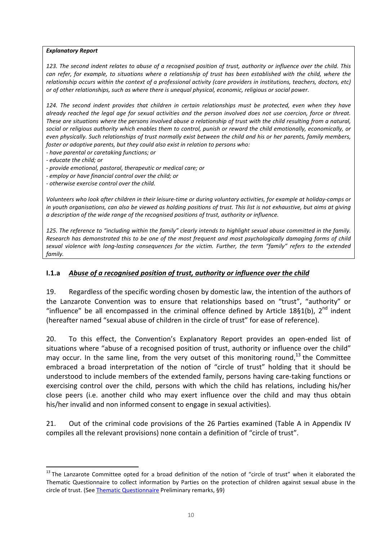#### *Explanatory Report*

*123. The second indent relates to abuse of a recognised position of trust, authority or influence over the child. This*  can refer, for example, to situations where a relationship of trust has been established with the child, where the *relationship occurs within the context of a professional activity (care providers in institutions, teachers, doctors, etc) or of other relationships, such as where there is unequal physical, economic, religious or social power.*

*124. The second indent provides that children in certain relationships must be protected, even when they have already reached the legal age for sexual activities and the person involved does not use coercion, force or threat. These are situations where the persons involved abuse a relationship of trust with the child resulting from a natural, social or religious authority which enables them to control, punish or reward the child emotionally, economically, or even physically. Such relationships of trust normally exist between the child and his or her parents, family members, foster or adoptive parents, but they could also exist in relation to persons who:*

- *- have parental or caretaking functions; or*
- *- educate the child; or*

<u>.</u>

- *- provide emotional, pastoral, therapeutic or medical care; or*
- *- employ or have financial control over the child; or*
- *- otherwise exercise control over the child.*

*Volunteers who look after children in their leisure-time or during voluntary activities, for example at holiday-camps or in youth organisations, can also be viewed as holding positions of trust. This list is not exhaustive, but aims at giving a description of the wide range of the recognised positions of trust, authority or influence.*

*125. The reference to "including within the family" clearly intends to highlight sexual abuse committed in the family. Research has demonstrated this to be one of the most frequent and most psychologically damaging forms of child sexual violence with long-lasting consequences for the victim. Further, the term "family" refers to the extended family.*

#### **I.1.a** *Abuse of a recognised position of trust, authority or influence over the child*

19. Regardless of the specific wording chosen by domestic law, the intention of the authors of the Lanzarote Convention was to ensure that relationships based on "trust", "authority" or "influence" be all encompassed in the criminal offence defined by Article  $18\S1(b)$ ,  $2<sup>nd</sup>$  indent (hereafter named "sexual abuse of children in the circle of trust" for ease of reference).

20. To this effect, the Convention's Explanatory Report provides an open-ended list of situations where "abuse of a recognised position of trust, authority or influence over the child" may occur. In the same line, from the very outset of this monitoring round, $^{13}$  $^{13}$  $^{13}$  the Committee embraced a broad interpretation of the notion of "circle of trust" holding that it should be understood to include members of the extended family, persons having care-taking functions or exercising control over the child, persons with which the child has relations, including his/her close peers (i.e. another child who may exert influence over the child and may thus obtain his/her invalid and non informed consent to engage in sexual activities).

21. Out of the criminal code provisions of the 26 Parties examined (Table A in Appendix IV compiles all the relevant provisions) none contain a definition of "circle of trust".

<span id="page-9-0"></span> $13$  The Lanzarote Committee opted for a broad definition of the notion of "circle of trust" when it elaborated the Thematic Questionnaire to collect information by Parties on the protection of children against sexual abuse in the circle of trust. (See [Thematic Questionnaire](https://rm.coe.int/CoERMPublicCommonSearchServices/DisplayDCTMContent?documentId=09000016804703b4) Preliminary remarks, §9)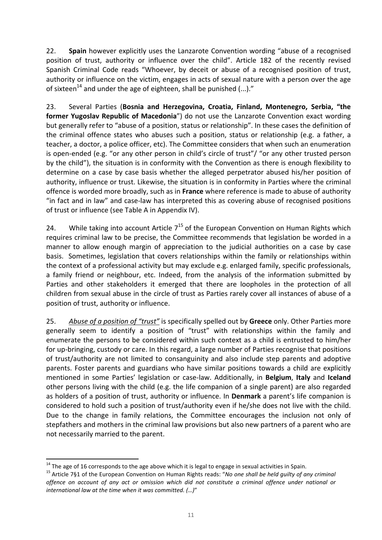22. **Spain** however explicitly uses the Lanzarote Convention wording "abuse of a recognised position of trust, authority or influence over the child". Article 182 of the recently revised Spanish Criminal Code reads "Whoever, by deceit or abuse of a recognised position of trust, authority or influence on the victim, engages in acts of sexual nature with a person over the age of sixteen<sup>[14](#page-10-0)</sup> and under the age of eighteen, shall be punished  $(...)'$ 

23. Several Parties (**Bosnia and Herzegovina, Croatia, Finland, Montenegro, Serbia, "the former Yugoslav Republic of Macedonia**") do not use the Lanzarote Convention exact wording but generally refer to "abuse of a position, status or relationship". In these cases the definition of the criminal offence states who abuses such a position, status or relationship (e.g. a father, a teacher, a doctor, a police officer, etc). The Committee considers that when such an enumeration is open-ended (e.g. "or any other person in child's circle of trust"/ "or any other trusted person by the child"), the situation is in conformity with the Convention as there is enough flexibility to determine on a case by case basis whether the alleged perpetrator abused his/her position of authority, influence or trust. Likewise, the situation is in conformity in Parties where the criminal offence is worded more broadly, such as in **France** where reference is made to abuse of authority "in fact and in law" and case-law has interpreted this as covering abuse of recognised positions of trust or influence (see Table A in Appendix IV).

24. While taking into account Article  $7^{15}$  $7^{15}$  $7^{15}$  of the European Convention on Human Rights which requires criminal law to be precise, the Committee recommends that legislation be worded in a manner to allow enough margin of appreciation to the judicial authorities on a case by case basis. Sometimes, legislation that covers relationships within the family or relationships within the context of a professional activity but may exclude e.g. enlarged family, specific professionals, a family friend or neighbour, etc. Indeed, from the analysis of the information submitted by Parties and other stakeholders it emerged that there are loopholes in the protection of all children from sexual abuse in the circle of trust as Parties rarely cover all instances of abuse of a position of trust, authority or influence.

25. *Abuse of a position of "trust"* is specifically spelled out by **Greece** only. Other Parties more generally seem to identify a position of "trust" with relationships within the family and enumerate the persons to be considered within such context as a child is entrusted to him/her for up-bringing, custody or care. In this regard, a large number of Parties recognise that positions of trust/authority are not limited to consanguinity and also include step parents and adoptive parents. Foster parents and guardians who have similar positions towards a child are explicitly mentioned in some Parties' legislation or case-law. Additionally, in **Belgium**, **Italy** and **Iceland** other persons living with the child (e.g. the life companion of a single parent) are also regarded as holders of a position of trust, authority or influence. In **Denmark** a parent's life companion is considered to hold such a position of trust/authority even if he/she does not live with the child. Due to the change in family relations, the Committee encourages the inclusion not only of stepfathers and mothers in the criminal law provisions but also new partners of a parent who are not necessarily married to the parent.

 $\overline{a}$ 

<span id="page-10-0"></span><sup>&</sup>lt;sup>14</sup> The age of 16 corresponds to the age above which it is legal to engage in sexual activities in Spain.

<span id="page-10-1"></span><sup>15</sup> Article 7§1 of the European Convention on Human Rights reads: "*No one shall be held guilty of any criminal offence on account of any act or omission which did not constitute a criminal offence under national or international law at the time when it was committed. (…)*"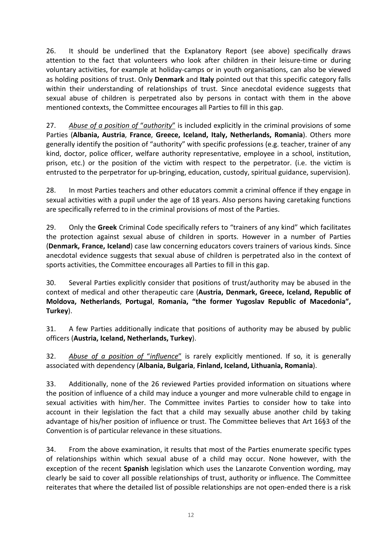26. It should be underlined that the Explanatory Report (see above) specifically draws attention to the fact that volunteers who look after children in their leisure-time or during voluntary activities, for example at holiday-camps or in youth organisations, can also be viewed as holding positions of trust. Only **Denmark** and **Italy** pointed out that this specific category falls within their understanding of relationships of trust. Since anecdotal evidence suggests that sexual abuse of children is perpetrated also by persons in contact with them in the above mentioned contexts, the Committee encourages all Parties to fill in this gap.

27. *Abuse of a position of* "*authority*" is included explicitly in the criminal provisions of some Parties (**Albania, Austria**, **France**, **Greece, Iceland, Italy, Netherlands, Romania**). Others more generally identify the position of "authority" with specific professions (e.g. teacher, trainer of any kind, doctor, police officer, welfare authority representative, employee in a school, institution, prison, etc.) or the position of the victim with respect to the perpetrator. (i.e. the victim is entrusted to the perpetrator for up-bringing, education, custody, spiritual guidance, supervision).

28. In most Parties teachers and other educators commit a criminal offence if they engage in sexual activities with a pupil under the age of 18 years. Also persons having caretaking functions are specifically referred to in the criminal provisions of most of the Parties.

29. Only the **Greek** Criminal Code specifically refers to "trainers of any kind" which facilitates the protection against sexual abuse of children in sports. However in a number of Parties (**Denmark, France, Iceland**) case law concerning educators covers trainers of various kinds. Since anecdotal evidence suggests that sexual abuse of children is perpetrated also in the context of sports activities, the Committee encourages all Parties to fill in this gap.

30. Several Parties explicitly consider that positions of trust/authority may be abused in the context of medical and other therapeutic care (**Austria, Denmark, Greece, Iceland, Republic of Moldova, Netherlands**, **Portugal**, **Romania, "the former Yugoslav Republic of Macedonia", Turkey**).

31. A few Parties additionally indicate that positions of authority may be abused by public officers (**Austria, Iceland, Netherlands, Turkey**).

32. *Abuse of a position of* "*influence*" is rarely explicitly mentioned. If so, it is generally associated with dependency (**Albania, Bulgaria**, **Finland, Iceland, Lithuania, Romania**).

33. Additionally, none of the 26 reviewed Parties provided information on situations where the position of influence of a child may induce a younger and more vulnerable child to engage in sexual activities with him/her. The Committee invites Parties to consider how to take into account in their legislation the fact that a child may sexually abuse another child by taking advantage of his/her position of influence or trust. The Committee believes that Art 16§3 of the Convention is of particular relevance in these situations.

34. From the above examination, it results that most of the Parties enumerate specific types of relationships within which sexual abuse of a child may occur. None however, with the exception of the recent **Spanish** legislation which uses the Lanzarote Convention wording, may clearly be said to cover all possible relationships of trust, authority or influence. The Committee reiterates that where the detailed list of possible relationships are not open-ended there is a risk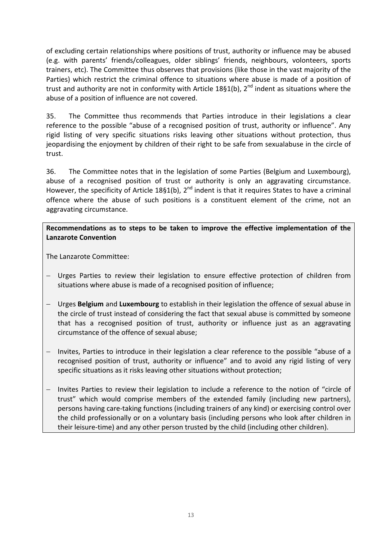of excluding certain relationships where positions of trust, authority or influence may be abused (e.g. with parents' friends/colleagues, older siblings' friends, neighbours, volonteers, sports trainers, etc). The Committee thus observes that provisions (like those in the vast majority of the Parties) which restrict the criminal offence to situations where abuse is made of a position of trust and authority are not in conformity with Article 18§1(b), 2<sup>nd</sup> indent as situations where the abuse of a position of influence are not covered.

35. The Committee thus recommends that Parties introduce in their legislations a clear reference to the possible "abuse of a recognised position of trust, authority or influence". Any rigid listing of very specific situations risks leaving other situations without protection, thus jeopardising the enjoyment by children of their right to be safe from sexualabuse in the circle of trust.

36. The Committee notes that in the legislation of some Parties (Belgium and Luxembourg), abuse of a recognised position of trust or authority is only an aggravating circumstance. However, the specificity of Article 18§1(b), 2<sup>nd</sup> indent is that it requires States to have a criminal offence where the abuse of such positions is a constituent element of the crime, not an aggravating circumstance.

**Recommendations as to steps to be taken to improve the effective implementation of the Lanzarote Convention**

The Lanzarote Committee:

- Urges Parties to review their legislation to ensure effective protection of children from situations where abuse is made of a recognised position of influence;
- Urges **Belgium** and **Luxembourg** to establish in their legislation the offence of sexual abuse in the circle of trust instead of considering the fact that sexual abuse is committed by someone that has a recognised position of trust, authority or influence just as an aggravating circumstance of the offence of sexual abuse;
- Invites, Parties to introduce in their legislation a clear reference to the possible "abuse of a recognised position of trust, authority or influence" and to avoid any rigid listing of very specific situations as it risks leaving other situations without protection;
- Invites Parties to review their legislation to include a reference to the notion of "circle of trust" which would comprise members of the extended family (including new partners), persons having care-taking functions (including trainers of any kind) or exercising control over the child professionally or on a voluntary basis (including persons who look after children in their leisure-time) and any other person trusted by the child (including other children).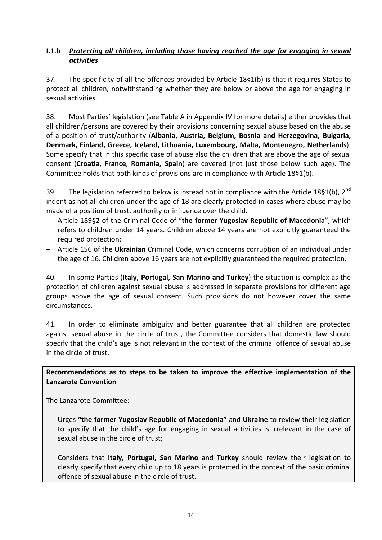## **I.1.b** *Protecting all children, including those having reached the age for engaging in sexual activities*

37. The specificity of all the offences provided by Article 18§1(b) is that it requires States to protect all children, notwithstanding whether they are below or above the age for engaging in sexual activities.

38. Most Parties' legislation (see Table A in Appendix IV for more details) either provides that all children/persons are covered by their provisions concerning sexual abuse based on the abuse of a position of trust/authority (**Albania, Austria, Belgium, Bosnia and Herzegovina, Bulgaria, Denmark, Finland, Greece, Iceland, Lithuania, Luxembourg, Malta, Montenegro, Netherlands**). Some specify that in this specific case of abuse also the children that are above the age of sexual consent (**Croatia, France**, **Romania, Spain**) are covered (not just those below such age). The Committee holds that both kinds of provisions are in compliance with Article 18§1(b).

39. The legislation referred to below is instead not in compliance with the Article 18§1(b), 2<sup>nd</sup> indent as not all children under the age of 18 are clearly protected in cases where abuse may be made of a position of trust, authority or influence over the child.

- Article 189§2 of the Criminal Code of "**the former Yugoslav Republic of Macedonia**", which refers to children under 14 years. Children above 14 years are not explicitly guaranteed the required protection;
- Article 156 of the **Ukrainian** Criminal Code, which concerns corruption of an individual under the age of 16. Children above 16 years are not explicitly guaranteed the required protection.

40. In some Parties (**Italy, Portugal, San Marino and Turkey**) the situation is complex as the protection of children against sexual abuse is addressed in separate provisions for different age groups above the age of sexual consent. Such provisions do not however cover the same circumstances.

41. In order to eliminate ambiguity and better guarantee that all children are protected against sexual abuse in the circle of trust, the Committee considers that domestic law should specify that the child's age is not relevant in the context of the criminal offence of sexual abuse in the circle of trust.

**Recommendations as to steps to be taken to improve the effective implementation of the Lanzarote Convention**

The Lanzarote Committee:

- Urges **"the former Yugoslav Republic of Macedonia"** and **Ukraine** to review their legislation to specify that the child's age for engaging in sexual activities is irrelevant in the case of sexual abuse in the circle of trust;
- Considers that **Italy, Portugal, San Marino** and **Turkey** should review their legislation to clearly specify that every child up to 18 years is protected in the context of the basic criminal offence of sexual abuse in the circle of trust.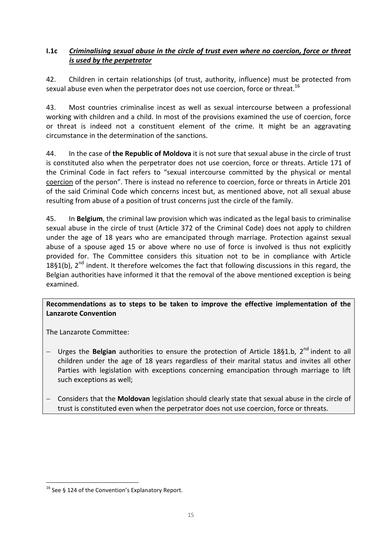## **I.1c** *Criminalising sexual abuse in the circle of trust even where no coercion, force or threat is used by the perpetrator*

42. Children in certain relationships (of trust, authority, influence) must be protected from sexual abuse even when the perpetrator does not use coercion, force or threat.<sup>[16](#page-14-1)</sup>

43. Most countries criminalise incest as well as sexual intercourse between a professional working with children and a child. In most of the provisions examined the use of coercion, force or threat is indeed not a constituent element of the crime. It might be an aggravating circumstance in the determination of the sanctions.

44. In the case of **the Republic of Moldova** it is not sure that sexual abuse in the circle of trust is constituted also when the perpetrator does not use coercion, force or threats. Article 171 of the Criminal Code in fact refers to "sexual intercourse committed by the physical or mental coercion of the person". There is instead no reference to coercion, force or threats in Article 201 of the said Criminal Code which concerns incest but, as mentioned above, not all sexual abuse resulting from abuse of a position of trust concerns just the circle of the family.

45. In **Belgium**, the criminal law provision which was indicated as the legal basis to criminalise sexual abuse in the circle of trust (Article 372 of the Criminal Code) does not apply to children under the age of 18 years who are emancipated through marriage. Protection against sexual abuse of a spouse aged 15 or above where no use of force is involved is thus not explicitly provided for. The Committee considers this situation not to be in compliance with Article 18§1(b), 2<sup>nd</sup> indent. It therefore welcomes the fact that following discussions in this regard, the Belgian authorities have informed it that the removal of the above mentioned exception is being examined.

**Recommendations as to steps to be taken to improve the effective implementation of the Lanzarote Convention**

The Lanzarote Committee:

- Urges the Belgian authorities to ensure the protection of Article 18§1.b, 2<sup>nd</sup> indent to all children under the age of 18 years regardless of their marital status and invites all other Parties with legislation with exceptions concerning emancipation through marriage to lift such exceptions as well;
- <span id="page-14-0"></span> Considers that the **Moldovan** legislation should clearly state that sexual abuse in the circle of trust is constituted even when the perpetrator does not use coercion, force or threats.

<u>.</u>

<span id="page-14-1"></span><sup>&</sup>lt;sup>16</sup> See § 124 of the Convention's Explanatory Report.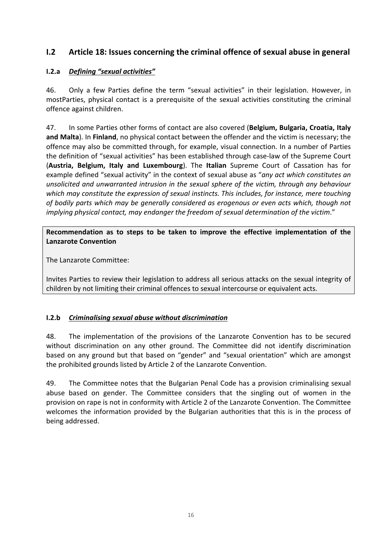## **I.2 Article 18: Issues concerning the criminal offence of sexual abuse in general**

## **I.2.a** *Defining "sexual activities"*

46. Only a few Parties define the term "sexual activities" in their legislation. However, in mostParties, physical contact is a prerequisite of the sexual activities constituting the criminal offence against children.

47. In some Parties other forms of contact are also covered (**Belgium, Bulgaria, Croatia, Italy and Malta**). In **Finland**, no physical contact between the offender and the victim is necessary; the offence may also be committed through, for example, visual connection. In a number of Parties the definition of "sexual activities" has been established through case-law of the Supreme Court (**Austria, Belgium, Italy and Luxembourg**). The **Italian** Supreme Court of Cassation has for example defined "sexual activity" in the context of sexual abuse as "*any act which constitutes an unsolicited and unwarranted intrusion in the sexual sphere of the victim, through any behaviour which may constitute the expression of sexual instincts. This includes, for instance, mere touching of bodily parts which may be generally considered as erogenous or even acts which, though not implying physical contact, may endanger the freedom of sexual determination of the victim*."

**Recommendation as to steps to be taken to improve the effective implementation of the Lanzarote Convention**

The Lanzarote Committee:

Invites Parties to review their legislation to address all serious attacks on the sexual integrity of children by not limiting their criminal offences to sexual intercourse or equivalent acts.

## **I.2.b** *Criminalising sexual abuse without discrimination*

48. The implementation of the provisions of the Lanzarote Convention has to be secured without discrimination on any other ground. The Committee did not identify discrimination based on any ground but that based on "gender" and "sexual orientation" which are amongst the prohibited grounds listed by Article 2 of the Lanzarote Convention.

49. The Committee notes that the Bulgarian Penal Code has a provision criminalising sexual abuse based on gender. The Committee considers that the singling out of women in the provision on rape is not in conformity with Article 2 of the Lanzarote Convention. The Committee welcomes the information provided by the Bulgarian authorities that this is in the process of being addressed.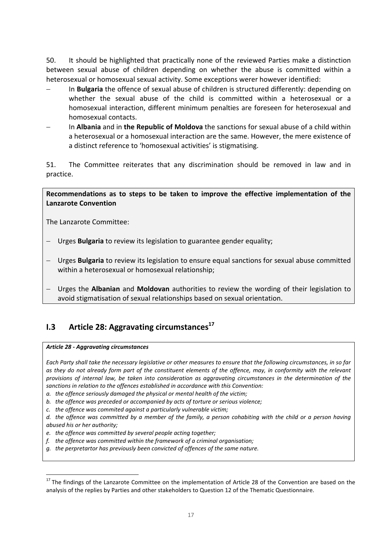50. It should be highlighted that practically none of the reviewed Parties make a distinction between sexual abuse of children depending on whether the abuse is committed within a heterosexual or homosexual sexual activity. Some exceptions werer however identified:

- In **Bulgaria** the offence of sexual abuse of children is structured differently: depending on whether the sexual abuse of the child is committed within a heterosexual or a homosexual interaction, different minimum penalties are foreseen for heterosexual and homosexual contacts.
- In **Albania** and in **the Republic of Moldova** the sanctions for sexual abuse of a child within a heterosexual or a homosexual interaction are the same. However, the mere existence of a distinct reference to 'homosexual activities' is stigmatising.

51. The Committee reiterates that any discrimination should be removed in law and in practice.

**Recommendations as to steps to be taken to improve the effective implementation of the Lanzarote Convention**

The Lanzarote Committee:

- Urges **Bulgaria** to review its legislation to guarantee gender equality;
- Urges **Bulgaria** to review its legislation to ensure equal sanctions for sexual abuse committed within a heterosexual or homosexual relationship;
- Urges the **Albanian** and **Moldovan** authorities to review the wording of their legislation to avoid stigmatisation of sexual relationships based on sexual orientation.

## <span id="page-16-0"></span>**I.3 Article 28: Aggravating circumstances[17](#page-16-1)**

#### *Article 28 - Aggravating circumstances*

 $\overline{a}$ 

*Each Party shall take the necessary legislative or other measures to ensure that the following circumstances, in so far as they do not already form part of the constituent elements of the offence, may, in conformity with the relevant provisions of internal law, be taken into consideration as aggravating circumstances in the determination of the sanctions in relation to the offences established in accordance with this Convention:* 

*a. the offence seriously damaged the physical or mental health of the victim;*

- *b. the offence was preceded or accompanied by acts of torture or serious violence;*
- *c. the offence was commited against a particularly vulnerable victim;*

*d. the offence was committed by a member of the family, a person cohabiting with the child or a person having abused his or her authority;*

- *e. the offence was committed by several people acting together;*
- *f. the offence was committed within the framework of a criminal organisation;*
- *g. the perpretartor has previously been convicted of offences of the same nature.*

<span id="page-16-1"></span><sup>&</sup>lt;sup>17</sup> The findings of the Lanzarote Committee on the implementation of Article 28 of the Convention are based on the analysis of th[e replies](http://www.coe.int/t/dghl/standardsetting/children/T-ES(2014)13_bil_rev1_RepliesQuestion10TQAnd16GOQOnArticle18.pdf) by Parties and other stakeholders to Question 12 of the Thematic Questionnaire.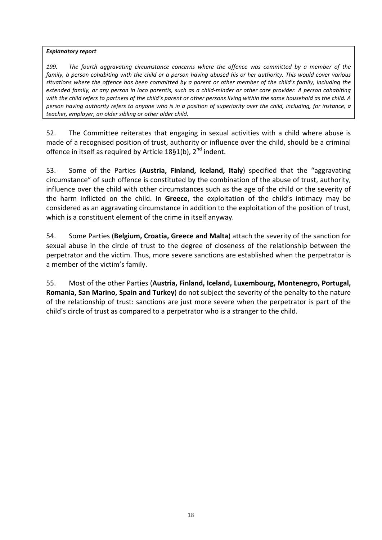#### *Explanatory report*

*199. The fourth aggravating circumstance concerns where the offence was committed by a member of the family, a person cohabiting with the child or a person having abused his or her authority. This would cover various situations where the offence has been committed by a parent or other member of the child's family, including the extended family, or any person in loco parentis, such as a child-minder or other care provider. A person cohabiting with the child refers to partners of the child's parent or other persons living within the same household as the child. A person having authority refers to anyone who is in a position of superiority over the child, including, for instance, a teacher, employer, an older sibling or other older child.*

52. The Committee reiterates that engaging in sexual activities with a child where abuse is made of a recognised position of trust, authority or influence over the child, should be a criminal offence in itself as required by Article  $18\S1(b)$ ,  $2<sup>nd</sup>$  indent.

53. Some of the Parties (**Austria, Finland, Iceland, Italy**) specified that the "aggravating circumstance" of such offence is constituted by the combination of the abuse of trust, authority, influence over the child with other circumstances such as the age of the child or the severity of the harm inflicted on the child. In **Greece**, the exploitation of the child's intimacy may be considered as an aggravating circumstance in addition to the exploitation of the position of trust, which is a constituent element of the crime in itself anyway.

54. Some Parties (**Belgium, Croatia, Greece and Malta**) attach the severity of the sanction for sexual abuse in the circle of trust to the degree of closeness of the relationship between the perpetrator and the victim. Thus, more severe sanctions are established when the perpetrator is a member of the victim's family.

55. Most of the other Parties (**Austria, Finland, Iceland, Luxembourg, Montenegro, Portugal, Romania, San Marino, Spain and Turkey**) do not subject the severity of the penalty to the nature of the relationship of trust: sanctions are just more severe when the perpetrator is part of the child's circle of trust as compared to a perpetrator who is a stranger to the child.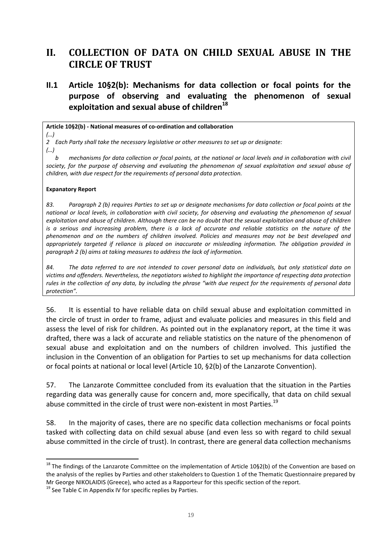## <span id="page-18-1"></span>**II. COLLECTION OF DATA ON CHILD SEXUAL ABUSE IN THE CIRCLE OF TRUST**

## <span id="page-18-0"></span>**II.1 Article 10§2(b): Mechanisms for data collection or focal points for the purpose of observing and evaluating the phenomenon of sexual exploitation and sexual abuse of children[18](#page-18-2)**

#### **Article 10§2(b) - National measures of co-ordination and collaboration**

*(…)*

 $\overline{a}$ 

*2 Each Party shall take the necessary legislative or other measures to set up or designate: (…)*

*b mechanisms for data collection or focal points, at the national or local levels and in collaboration with civil*  society, for the purpose of observing and evaluating the phenomenon of sexual exploitation and sexual abuse of *children, with due respect for the requirements of personal data protection.*

#### **Expanatory Report**

*83. Paragraph 2 (b) requires Parties to set up or designate mechanisms for data collection or focal points at the national or local levels, in collaboration with civil society, for observing and evaluating the phenomenon of sexual exploitation and abuse of children. Although there can be no doubt that the sexual exploitation and abuse of children is a serious and increasing problem, there is a lack of accurate and reliable statistics on the nature of the phenomenon and on the numbers of children involved. Policies and measures may not be best developed and appropriately targeted if reliance is placed on inaccurate or misleading information. The obligation provided in paragraph 2 (b) aims at taking measures to address the lack of information.*

*84. The data referred to are not intended to cover personal data on individuals, but only statistical data on victims and offenders. Nevertheless, the negotiators wished to highlight the importance of respecting data protection rules in the collection of any data, by including the phrase "with due respect for the requirements of personal data protection".*

56. It is essential to have reliable data on child sexual abuse and exploitation committed in the circle of trust in order to frame, adjust and evaluate policies and measures in this field and assess the level of risk for children. As pointed out in the explanatory report, at the time it was drafted, there was a lack of accurate and reliable statistics on the nature of the phenomenon of sexual abuse and exploitation and on the numbers of children involved. This justified the inclusion in the Convention of an obligation for Parties to set up mechanisms for data collection or focal points at national or local level (Article 10, §2(b) of the Lanzarote Convention).

57. The Lanzarote Committee concluded from its evaluation that the situation in the Parties regarding data was generally cause for concern and, more specifically, that data on child sexual abuse committed in the circle of trust were non-existent in most Parties.<sup>[19](#page-18-3)</sup>

58. In the majority of cases, there are no specific data collection mechanisms or focal points tasked with collecting data on child sexual abuse (and even less so with regard to child sexual abuse committed in the circle of trust). In contrast, there are general data collection mechanisms

<span id="page-18-2"></span> $18$  The findings of the Lanzarote Committee on the implementation of Article 10§2(b) of the Convention are based on the analysis of the [replies](http://www.coe.int/t/dghl/standardsetting/children/T-ES(2014)13_bil_rev1_RepliesQuestion10TQAnd16GOQOnArticle18.pdf) by Parties and other stakeholders to Question 1 of the Thematic Questionnaire prepared by Mr George NIKOLAIDIS (Greece), who acted as a Rapporteur for this specific section of the report.

<span id="page-18-3"></span> $19$  See Table C in Appendix IV for specific replies by Parties.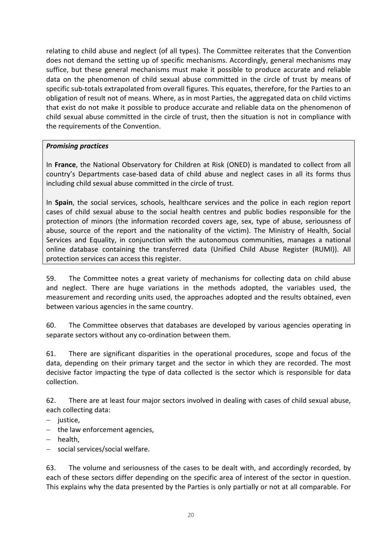relating to child abuse and neglect (of all types). The Committee reiterates that the Convention does not demand the setting up of specific mechanisms. Accordingly, general mechanisms may suffice, but these general mechanisms must make it possible to produce accurate and reliable data on the phenomenon of child sexual abuse committed in the circle of trust by means of specific sub-totals extrapolated from overall figures. This equates, therefore, for the Parties to an obligation of result not of means. Where, as in most Parties, the aggregated data on child victims that exist do not make it possible to produce accurate and reliable data on the phenomenon of child sexual abuse committed in the circle of trust, then the situation is not in compliance with the requirements of the Convention.

## *Promising practices*

In **France**, the National Observatory for Children at Risk (ONED) is mandated to collect from all country's Departments case-based data of child abuse and neglect cases in all its forms thus including child sexual abuse committed in the circle of trust.

In **Spain**, the social services, schools, healthcare services and the police in each region report cases of child sexual abuse to the social health centres and public bodies responsible for the protection of minors (the information recorded covers age, sex, type of abuse, seriousness of abuse, source of the report and the nationality of the victim). The Ministry of Health, Social Services and Equality, in conjunction with the autonomous communities, manages a national online database containing the transferred data (Unified Child Abuse Register (RUMI)). All protection services can access this register.

59. The Committee notes a great variety of mechanisms for collecting data on child abuse and neglect. There are huge variations in the methods adopted, the variables used, the measurement and recording units used, the approaches adopted and the results obtained, even between various agencies in the same country.

60. The Committee observes that databases are developed by various agencies operating in separate sectors without any co-ordination between them.

61. There are significant disparities in the operational procedures, scope and focus of the data, depending on their primary target and the sector in which they are recorded. The most decisive factor impacting the type of data collected is the sector which is responsible for data collection.

62. There are at least four major sectors involved in dealing with cases of child sexual abuse, each collecting data:

- $-$  iustice.
- $-$  the law enforcement agencies,
- $-$  health,
- social services/social welfare.

63. The volume and seriousness of the cases to be dealt with, and accordingly recorded, by each of these sectors differ depending on the specific area of interest of the sector in question. This explains why the data presented by the Parties is only partially or not at all comparable. For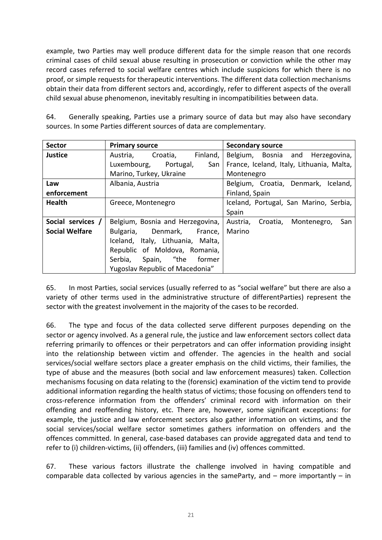example, two Parties may well produce different data for the simple reason that one records criminal cases of child sexual abuse resulting in prosecution or conviction while the other may record cases referred to social welfare centres which include suspicions for which there is no proof, or simple requests for therapeutic interventions. The different data collection mechanisms obtain their data from different sectors and, accordingly, refer to different aspects of the overall child sexual abuse phenomenon, inevitably resulting in incompatibilities between data.

64. Generally speaking, Parties use a primary source of data but may also have secondary sources. In some Parties different sources of data are complementary.

| <b>Sector</b>         | <b>Primary source</b>             | <b>Secondary source</b>                   |
|-----------------------|-----------------------------------|-------------------------------------------|
| <b>Justice</b>        | Finland,<br>Croatia,<br>Austria,  | Belgium, Bosnia and Herzegovina,          |
|                       | Luxembourg, Portugal,<br>San      | France, Iceland, Italy, Lithuania, Malta, |
|                       | Marino, Turkey, Ukraine           | Montenegro                                |
| Law                   | Albania, Austria                  | Belgium, Croatia, Denmark, Iceland,       |
| enforcement           |                                   | Finland, Spain                            |
| <b>Health</b>         | Greece, Montenegro                | Iceland, Portugal, San Marino, Serbia,    |
|                       |                                   | Spain                                     |
| Social services /     | Belgium, Bosnia and Herzegovina,  | Austria, Croatia, Montenegro,<br>San      |
| <b>Social Welfare</b> | Bulgaria, Denmark,<br>France,     | Marino                                    |
|                       | Iceland, Italy, Lithuania, Malta, |                                           |
|                       | Republic of Moldova, Romania,     |                                           |
|                       | Serbia, Spain, "the former        |                                           |
|                       | Yugoslav Republic of Macedonia"   |                                           |

65. In most Parties, social services (usually referred to as "social welfare" but there are also a variety of other terms used in the administrative structure of differentParties) represent the sector with the greatest involvement in the majority of the cases to be recorded.

66. The type and focus of the data collected serve different purposes depending on the sector or agency involved. As a general rule, the justice and law enforcement sectors collect data referring primarily to offences or their perpetrators and can offer information providing insight into the relationship between victim and offender. The agencies in the health and social services/social welfare sectors place a greater emphasis on the child victims, their families, the type of abuse and the measures (both social and law enforcement measures) taken. Collection mechanisms focusing on data relating to the (forensic) examination of the victim tend to provide additional information regarding the health status of victims; those focusing on offenders tend to cross-reference information from the offenders' criminal record with information on their offending and reoffending history, etc. There are, however, some significant exceptions: for example, the justice and law enforcement sectors also gather information on victims, and the social services/social welfare sector sometimes gathers information on offenders and the offences committed. In general, case-based databases can provide aggregated data and tend to refer to (i) children-victims, (ii) offenders, (iii) families and (iv) offences committed.

67. These various factors illustrate the challenge involved in having compatible and comparable data collected by various agencies in the sameParty, and – more importantly – in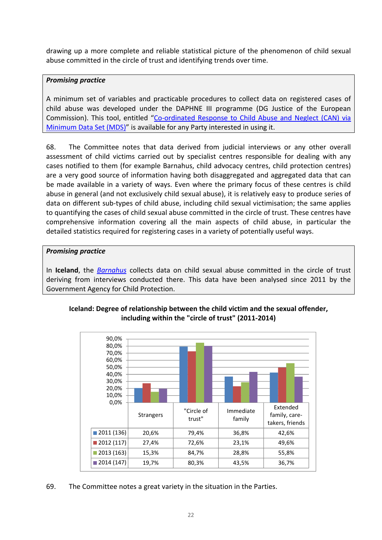drawing up a more complete and reliable statistical picture of the phenomenon of child sexual abuse committed in the circle of trust and identifying trends over time.

## *Promising practice*

A minimum set of variables and practicable procedures to collect data on registered cases of child abuse was developed under the DAPHNE III programme (DG Justice of the European Commission). This tool, entitled ["Co-ordinated Response to Child Abuse and Neglect \(CAN\) via](http://www.can-via-mds.eu/)  [Minimum Data Set \(MDS\)"](http://www.can-via-mds.eu/) is available for any Party interested in using it.

68. The Committee notes that data derived from judicial interviews or any other overall assessment of child victims carried out by specialist centres responsible for dealing with any cases notified to them (for example Barnahus, child advocacy centres, child protection centres) are a very good source of information having both disaggregated and aggregated data that can be made available in a variety of ways. Even where the primary focus of these centres is child abuse in general (and not exclusively child sexual abuse), it is relatively easy to produce series of data on different sub-types of child abuse, including child sexual victimisation; the same applies to quantifying the cases of child sexual abuse committed in the circle of trust. These centres have comprehensive information covering all the main aspects of child abuse, in particular the detailed statistics required for registering cases in a variety of potentially useful ways.

## *Promising practice*

In **Iceland**, the *[Barnahus](http://www.bvs.is/)* collects data on child sexual abuse committed in the circle of trust deriving from interviews conducted there. This data have been analysed since 2011 by the Government Agency for Child Protection.



## **Iceland: Degree of relationship between the child victim and the sexual offender, including within the "circle of trust" (2011-2014)**

69. The Committee notes a great variety in the situation in the Parties.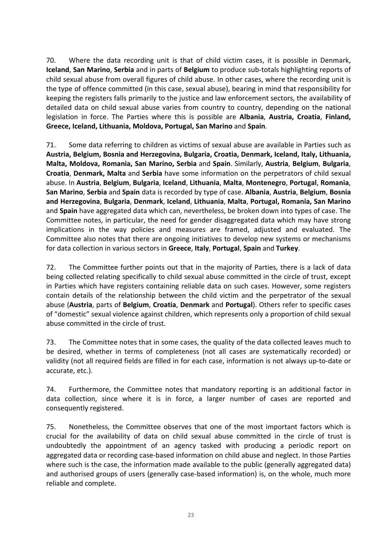70. Where the data recording unit is that of child victim cases, it is possible in Denmark, **Iceland**, **San Marino**, **Serbia** and in parts of **Belgium** to produce sub-totals highlighting reports of child sexual abuse from overall figures of child abuse. In other cases, where the recording unit is the type of offence committed (in this case, sexual abuse), bearing in mind that responsibility for keeping the registers falls primarily to the justice and law enforcement sectors, the availability of detailed data on child sexual abuse varies from country to country, depending on the national legislation in force. The Parties where this is possible are **Albania**, **Austria, Croatia**, **Finland, Greece, Iceland, Lithuania, Moldova, Portugal, San Marino** and **Spain**.

71. Some data referring to children as victims of sexual abuse are available in Parties such as **Austria, Belgium, Bosnia and Herzegovina, Bulgaria, Croatia, Denmark, Iceland, Italy, Lithuania, Malta, Moldova, Romania, San Marino, Serbia** and **Spain**. Similarly, **Austria**, **Belgium**, **Bulgaria**, **Croatia**, **Denmark, Malta** and **Serbia** have some information on the perpetrators of child sexual abuse. In **Austria**, **Belgium**, **Bulgaria**, **Iceland**, **Lithuania**, **Malta**, **Montenegro**, **Portugal**, **Romania**, **San Marino**, **Serbia** and **Spain** data is recorded by type of case. **Albania**, **Austria**, **Belgium**, **Bosnia and Herzegovina**, **Bulgaria**, **Denmark**, **Iceland**, **Lithuania**, **Malta**, **Portugal, Romania, San Marino** and **Spain** have aggregated data which can, nevertheless, be broken down into types of case. The Committee notes, in particular, the need for gender disaggregated data which may have strong implications in the way policies and measures are framed, adjusted and evaluated. The Committee also notes that there are ongoing initiatives to develop new systems or mechanisms for data collection in various sectors in **Greece**, **Italy**, **Portugal**, **Spain** and **Turkey**.

72. The Committee further points out that in the majority of Parties, there is a lack of data being collected relating specifically to child sexual abuse committed in the circle of trust, except in Parties which have registers containing reliable data on such cases. However, some registers contain details of the relationship between the child victim and the perpetrator of the sexual abuse (**Austria**, parts of **Belgium**, **Croatia**, **Denmark** and **Portugal**). Others refer to specific cases of "domestic" sexual violence against children, which represents only a proportion of child sexual abuse committed in the circle of trust.

73. The Committee notes that in some cases, the quality of the data collected leaves much to be desired, whether in terms of completeness (not all cases are systematically recorded) or validity (not all required fields are filled in for each case, information is not always up-to-date or accurate, etc.).

74. Furthermore, the Committee notes that mandatory reporting is an additional factor in data collection, since where it is in force, a larger number of cases are reported and consequently registered.

75. Nonetheless, the Committee observes that one of the most important factors which is crucial for the availability of data on child sexual abuse committed in the circle of trust is undoubtedly the appointment of an agency tasked with producing a periodic report on aggregated data or recording case-based information on child abuse and neglect. In those Parties where such is the case, the information made available to the public (generally aggregated data) and authorised groups of users (generally case-based information) is, on the whole, much more reliable and complete.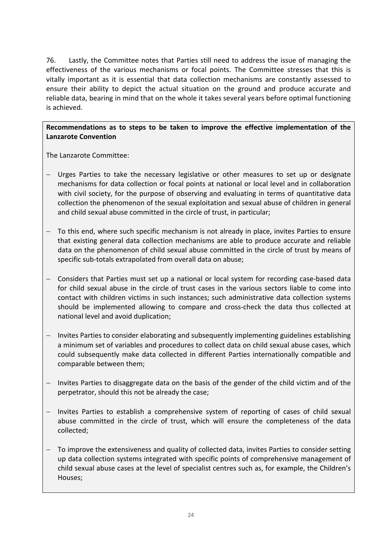76. Lastly, the Committee notes that Parties still need to address the issue of managing the effectiveness of the various mechanisms or focal points. The Committee stresses that this is vitally important as it is essential that data collection mechanisms are constantly assessed to ensure their ability to depict the actual situation on the ground and produce accurate and reliable data, bearing in mind that on the whole it takes several years before optimal functioning is achieved.

### **Recommendations as to steps to be taken to improve the effective implementation of the Lanzarote Convention**

The Lanzarote Committee:

- Urges Parties to take the necessary legislative or other measures to set up or designate mechanisms for data collection or focal points at national or local level and in collaboration with civil society, for the purpose of observing and evaluating in terms of quantitative data collection the phenomenon of the sexual exploitation and sexual abuse of children in general and child sexual abuse committed in the circle of trust, in particular;
- To this end, where such specific mechanism is not already in place, invites Parties to ensure that existing general data collection mechanisms are able to produce accurate and reliable data on the phenomenon of child sexual abuse committed in the circle of trust by means of specific sub-totals extrapolated from overall data on abuse;
- Considers that Parties must set up a national or local system for recording case-based data for child sexual abuse in the circle of trust cases in the various sectors liable to come into contact with children victims in such instances; such administrative data collection systems should be implemented allowing to compare and cross-check the data thus collected at national level and avoid duplication;
- Invites Parties to consider elaborating and subsequently implementing guidelines establishing a minimum set of variables and procedures to collect data on child sexual abuse cases, which could subsequently make data collected in different Parties internationally compatible and comparable between them;
- $-$  Invites Parties to disaggregate data on the basis of the gender of the child victim and of the perpetrator, should this not be already the case;
- Invites Parties to establish a comprehensive system of reporting of cases of child sexual abuse committed in the circle of trust, which will ensure the completeness of the data collected;
- To improve the extensiveness and quality of collected data, invites Parties to consider setting up data collection systems integrated with specific points of comprehensive management of child sexual abuse cases at the level of specialist centres such as, for example, the Children's Houses;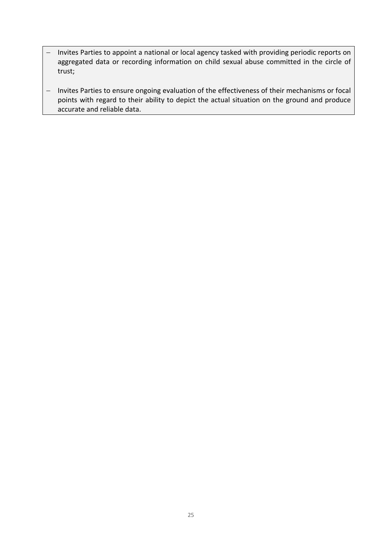- Invites Parties to appoint a national or local agency tasked with providing periodic reports on aggregated data or recording information on child sexual abuse committed in the circle of trust;
- Invites Parties to ensure ongoing evaluation of the effectiveness of their mechanisms or focal points with regard to their ability to depict the actual situation on the ground and produce accurate and reliable data.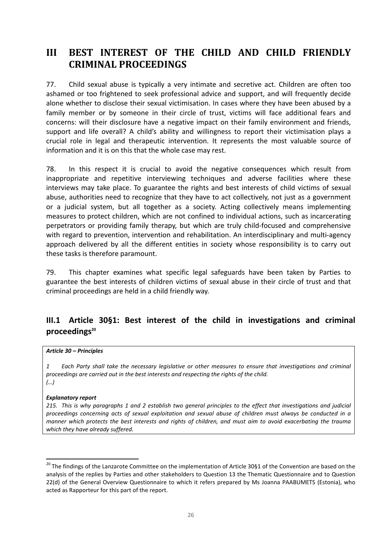## <span id="page-25-1"></span>**III BEST INTEREST OF THE CHILD AND CHILD FRIENDLY CRIMINAL PROCEEDINGS**

77. Child sexual abuse is typically a very intimate and secretive act. Children are often too ashamed or too frightened to seek professional advice and support, and will frequently decide alone whether to disclose their sexual victimisation. In cases where they have been abused by a family member or by someone in their circle of trust, victims will face additional fears and concerns: will their disclosure have a negative impact on their family environment and friends, support and life overall? A child's ability and willingness to report their victimisation plays a crucial role in legal and therapeutic intervention. It represents the most valuable source of information and it is on this that the whole case may rest.

78. In this respect it is crucial to avoid the negative consequences which result from inappropriate and repetitive interviewing techniques and adverse facilities where these interviews may take place. To guarantee the rights and best interests of child victims of sexual abuse, authorities need to recognize that they have to act collectively, not just as a government or a judicial system, but all together as a society. Acting collectively means implementing measures to protect children, which are not confined to individual actions, such as incarcerating perpetrators or providing family therapy, but which are truly child-focused and comprehensive with regard to prevention, intervention and rehabilitation. An interdisciplinary and multi-agency approach delivered by all the different entities in society whose responsibility is to carry out these tasks is therefore paramount.

79. This chapter examines what specific legal safeguards have been taken by Parties to guarantee the best interests of children victims of sexual abuse in their circle of trust and that criminal proceedings are held in a child friendly way.

## <span id="page-25-0"></span>**III.1 Article 30§1: Best interest of the child in investigations and criminal proceedings[20](#page-25-2)**

#### *Article 30 – Principles*

*1 Each Party shall take the necessary legislative or other measures to ensure that investigations and criminal proceedings are carried out in the best interests and respecting the rights of the child. (…)*

#### *Explanatory report*

 $\overline{a}$ 

*215. This is why paragraphs 1 and 2 establish two general principles to the effect that investigations and judicial proceedings concerning acts of sexual exploitation and sexual abuse of children must always be conducted in a manner which protects the best interests and rights of children, and must aim to avoid exacerbating the trauma which they have already suffered.*

<span id="page-25-2"></span><sup>&</sup>lt;sup>20</sup> The findings of the Lanzarote Committee on the implementation of Article 30§1 of the Convention are based on the analysis of the replies by Parties and other stakeholders to Question 13 the Thematic Questionnaire and to Question 22(d) of the General Overview Questionnaire to which it refers prepared by Ms Joanna PAABUMETS (Estonia), who acted as Rapporteur for this part of the report.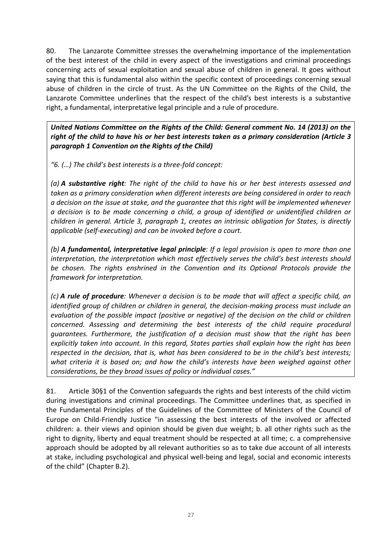80. The Lanzarote Committee stresses the overwhelming importance of the implementation of the best interest of the child in every aspect of the investigations and criminal proceedings concerning acts of sexual exploitation and sexual abuse of children in general. It goes without saying that this is fundamental also within the specific context of proceedings concerning sexual abuse of children in the circle of trust. As the UN Committee on the Rights of the Child, the Lanzarote Committee underlines that the respect of the child's best interests is a substantive right, a fundamental, interpretative legal principle and a rule of procedure.

*United Nations Committee on the Rights of the Child: General comment No. 14 (2013) on the right of the child to have his or her best interests taken as a primary consideration (Article 3 paragraph 1 Convention on the Rights of the Child)*

*"6. (…) The child's best interests is a three-fold concept:*

*(a) A substantive right: The right of the child to have his or her best interests assessed and taken as a primary consideration when different interests are being considered in order to reach a decision on the issue at stake, and the guarantee that this right will be implemented whenever a decision is to be made concerning a child, a group of identified or unidentified children or children in general. Article 3, paragraph 1, creates an intrinsic obligation for States, is directly applicable (self-executing) and can be invoked before a court.*

*(b) A fundamental, interpretative legal principle: If a legal provision is open to more than one interpretation, the interpretation which most effectively serves the child's best interests should be chosen. The rights enshrined in the Convention and its Optional Protocols provide the framework for interpretation.*

*(c) A rule of procedure: Whenever a decision is to be made that will affect a specific child, an identified group of children or children in general, the decision-making process must include an evaluation of the possible impact (positive or negative) of the decision on the child or children concerned. Assessing and determining the best interests of the child require procedural guarantees. Furthermore, the justification of a decision must show that the right has been explicitly taken into account. In this regard, States parties shall explain how the right has been respected in the decision, that is, what has been considered to be in the child's best interests; what criteria it is based on; and how the child's interests have been weighed against other considerations, be they broad issues of policy or individual cases."*

81. Article 30§1 of the Convention safeguards the rights and best interests of the child victim during investigations and criminal proceedings. The Committee underlines that, as specified in the Fundamental Principles of the Guidelines of the Committee of Ministers of the Council of Europe on Child-Friendly Justice "in assessing the best interests of the involved or affected children: a. their views and opinion should be given due weight; b. all other rights such as the right to dignity, liberty and equal treatment should be respected at all time; c. a comprehensive approach should be adopted by all relevant authorities so as to take due account of all interests at stake, including psychological and physical well-being and legal, social and economic interests of the child" (Chapter B.2).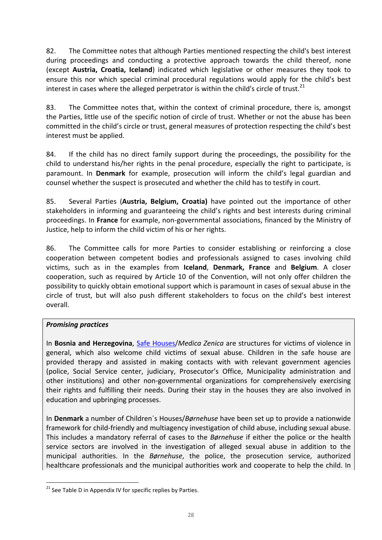82. The Committee notes that although Parties mentioned respecting the child's best interest during proceedings and conducting a protective approach towards the child thereof, none (except **Austria, Croatia, Iceland**) indicated which legislative or other measures they took to ensure this nor which special criminal procedural regulations would apply for the child's best interest in cases where the alleged perpetrator is within the child's circle of trust. $^{21}$  $^{21}$  $^{21}$ 

83. The Committee notes that, within the context of criminal procedure, there is, amongst the Parties, little use of the specific notion of circle of trust. Whether or not the abuse has been committed in the child's circle or trust, general measures of protection respecting the child's best interest must be applied.

84. If the child has no direct family support during the proceedings, the possibility for the child to understand his/her rights in the penal procedure, especially the right to participate, is paramount. In **Denmark** for example, prosecution will inform the child's legal guardian and counsel whether the suspect is prosecuted and whether the child has to testify in court.

85. Several Parties (**Austria, Belgium, Croatia)** have pointed out the importance of other stakeholders in informing and guaranteeing the child's rights and best interests during criminal proceedings. In **France** for example, non-governmental associations, financed by the Ministry of Justice, help to inform the child victim of his or her rights.

86. The Committee calls for more Parties to consider establishing or reinforcing a close cooperation between competent bodies and professionals assigned to cases involving child victims, such as in the examples from **Iceland**, **Denmark, France** and **Belgium**. A closer cooperation, such as required by Article 10 of the Convention, will not only offer children the possibility to quickly obtain emotional support which is paramount in cases of sexual abuse in the circle of trust, but will also push different stakeholders to focus on the child's best interest overall.

## *Promising practices*

<u>.</u>

In **Bosnia and Herzegovina**, [Safe Houses/](http://medicazenica.org/uk/index.php?option=com_content&view=article&id=50&Itemid=27)*Medica Zenica* are structures for victims of violence in general, which also welcome child victims of sexual abuse. Children in the safe house are provided therapy and assisted in making contacts with with relevant government agencies (police, Social Service center, judiciary, Prosecutor's Office, Municipality administration and other institutions) and other non-governmental organizations for comprehensively exercising their rights and fulfilling their needs. During their stay in the houses they are also involved in education and upbringing processes.

In **Denmark** a number of Children´s Houses/*Børnehuse* have been set up to provide a nationwide framework for child-friendly and multiagency investigation of child abuse, including sexual abuse. This includes a mandatory referral of cases to the *Børnehuse* if either the police or the health service sectors are involved in the investigation of alleged sexual abuse in addition to the municipal authorities. In the *Børnehuse*, the police, the prosecution service, authorized healthcare professionals and the municipal authorities work and cooperate to help the child. In

<span id="page-27-0"></span> $21$  See Table D in Appendix IV for specific replies by Parties.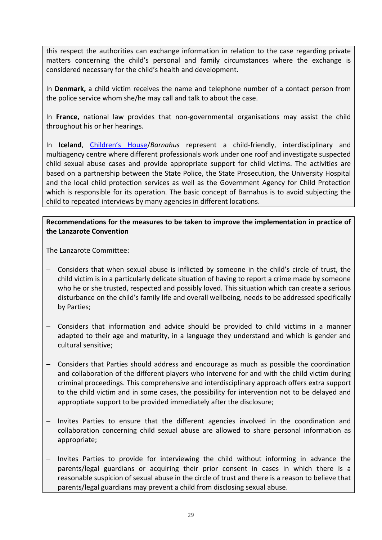this respect the authorities can exchange information in relation to the case regarding private matters concerning the child's personal and family circumstances where the exchange is considered necessary for the child's health and development.

In **Denmark,** a child victim receives the name and telephone number of a contact person from the police service whom she/he may call and talk to about the case.

In **France,** national law provides that non-governmental organisations may assist the child throughout his or her hearings.

In **Iceland**, [Children's House/](http://www.bvs.is/media/barnahus/childrens-house-brocure.pdf)*Barnahus* represent a child-friendly, interdisciplinary and multiagency centre where different professionals work under one roof and investigate suspected child sexual abuse cases and provide appropriate support for child victims. The activities are based on a partnership between the State Police, the State Prosecution, the University Hospital and the local child protection services as well as the Government Agency for Child Protection which is responsible for its operation. The basic concept of Barnahus is to avoid subjecting the child to repeated interviews by many agencies in different locations.

## **Recommendations for the measures to be taken to improve the implementation in practice of the Lanzarote Convention**

The Lanzarote Committee:

- Considers that when sexual abuse is inflicted by someone in the child's circle of trust, the child victim is in a particularly delicate situation of having to report a crime made by someone who he or she trusted, respected and possibly loved. This situation which can create a serious disturbance on the child's family life and overall wellbeing, needs to be addressed specifically by Parties;
- Considers that information and advice should be provided to child victims in a manner adapted to their age and maturity, in a language they understand and which is gender and cultural sensitive;
- Considers that Parties should address and encourage as much as possible the coordination and collaboration of the different players who intervene for and with the child victim during criminal proceedings. This comprehensive and interdisciplinary approach offers extra support to the child victim and in some cases, the possibility for intervention not to be delayed and approptiate support to be provided immediately after the disclosure;
- $-$  Invites Parties to ensure that the different agencies involved in the coordination and collaboration concerning child sexual abuse are allowed to share personal information as appropriate;
- Invites Parties to provide for interviewing the child without informing in advance the parents/legal guardians or acquiring their prior consent in cases in which there is a reasonable suspicion of sexual abuse in the circle of trust and there is a reason to believe that parents/legal guardians may prevent a child from disclosing sexual abuse.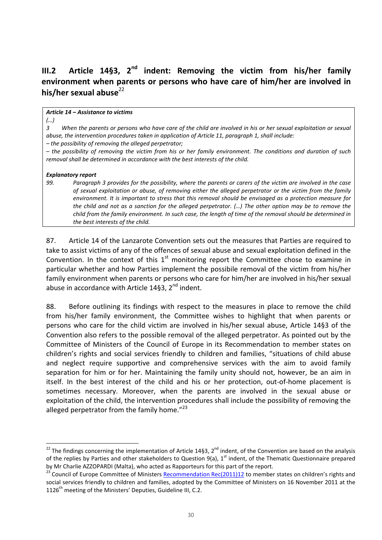## <span id="page-29-0"></span>III.2 Article 14§3, 2<sup>nd</sup> indent: Removing the victim from his/her family **environment when parents or persons who have care of him/her are involved in**  his/her sexual abuse<sup>[22](#page-29-1)</sup>

#### *Article 14 – Assistance to victims*

*(…) 3 When the parents or persons who have care of the child are involved in his or her sexual exploitation or sexual abuse, the intervention procedures taken in application of Article 11, paragraph 1, shall include:*

*– the possibility of removing the alleged perpetrator;*

*– the possibility of removing the victim from his or her family environment. The conditions and duration of such removal shall be determined in accordance with the best interests of the child.*

#### *Explanatory report*

 $\overline{a}$ 

*99. Paragraph 3 provides for the possibility, where the parents or carers of the victim are involved in the case of sexual exploitation or abuse, of removing either the alleged perpetrator or the victim from the family environment. It is important to stress that this removal should be envisaged as a protection measure for the child and not as a sanction for the alleged perpetrator. (…) The other option may be to remove the child from the family environment. In such case, the length of time of the removal should be determined in the best interests of the child.*

87. Article 14 of the Lanzarote Convention sets out the measures that Parties are required to take to assist victims of any of the offences of sexual abuse and sexual exploitation defined in the Convention. In the context of this  $1<sup>st</sup>$  monitoring report the Committee chose to examine in particular whether and how Parties implement the possibile removal of the victim from his/her family environment when parents or persons who care for him/her are involved in his/her sexual abuse in accordance with Article 14§3,  $2^{nd}$  indent.

88. Before outlining its findings with respect to the measures in place to remove the child from his/her family environment, the Committee wishes to highlight that when parents or persons who care for the child victim are involved in his/her sexual abuse, Article 14§3 of the Convention also refers to the possible removal of the alleged perpetrator. As pointed out by the Committee of Ministers of the Council of Europe in its Recommendation to member states on children's rights and social services friendly to children and families, "situations of child abuse and neglect require supportive and comprehensive services with the aim to avoid family separation for him or for her. Maintaining the family unity should not, however, be an aim in itself. In the best interest of the child and his or her protection, out-of-home placement is sometimes necessary. Moreover, when the parents are involved in the sexual abuse or exploitation of the child, the intervention procedures shall include the possibility of removing the alleged perpetrator from the family home. $"^{23}$  $"^{23}$  $"^{23}$ 

<span id="page-29-1"></span><sup>&</sup>lt;sup>22</sup> The findings concerning the implementation of Article 14§3, 2<sup>nd</sup> indent, of the Convention are based on the analysis of the replies by Parties and other stakeholders to Question 9(a),  $1^{st}$  indent, of the Thematic Questionnaire prepared by Mr Charlie AZZOPARDI (Malta), who acted as Rapporteurs for this part of the report.

<span id="page-29-2"></span><sup>&</sup>lt;sup>23</sup> Council of Europe Committee of Ministers [Recommendation Rec\(2011\)12](https://wcd.coe.int/ViewDoc.jsp?id=1872121&Site=CM&BackColorInternet=C3C3C3&BackColorIntranet=EDB021&BackColorLogged=F5D383) to member states on children's rights and social services friendly to children and families, adopted by the Committee of Ministers on 16 November 2011 at the  $1126<sup>th</sup>$  meeting of the Ministers' Deputies, Guideline III, C.2.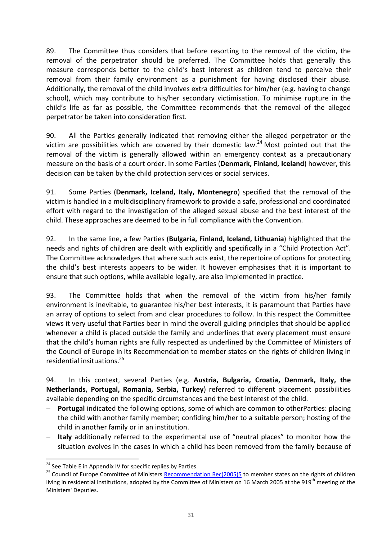89. The Committee thus considers that before resorting to the removal of the victim, the removal of the perpetrator should be preferred. The Committee holds that generally this measure corresponds better to the child's best interest as children tend to perceive their removal from their family environment as a punishment for having disclosed their abuse. Additionally, the removal of the child involves extra difficulties for him/her (e.g. having to change school), which may contribute to his/her secondary victimisation. To minimise rupture in the child's life as far as possible, the Committee recommends that the removal of the alleged perpetrator be taken into consideration first.

90. All the Parties generally indicated that removing either the alleged perpetrator or the victim are possibilities which are covered by their domestic law.<sup>[24](#page-30-0)</sup> Most pointed out that the removal of the victim is generally allowed within an emergency context as a precautionary measure on the basis of a court order. In some Parties (**Denmark, Finland, Iceland**) however, this decision can be taken by the child protection services or social services.

91. Some Parties (**Denmark, Iceland, Italy, Montenegro**) specified that the removal of the victim is handled in a multidisciplinary framework to provide a safe, professional and coordinated effort with regard to the investigation of the alleged sexual abuse and the best interest of the child. These approaches are deemed to be in full compliance with the Convention.

92. In the same line, a few Parties (**Bulgaria, Finland, Iceland, Lithuania**) highlighted that the needs and rights of children are dealt with explicitly and specifically in a "Child Protection Act". The Committee acknowledges that where such acts exist, the repertoire of options for protecting the child's best interests appears to be wider. It however emphasises that it is important to ensure that such options, while available legally, are also implemented in practice.

93. The Committee holds that when the removal of the victim from his/her family environment is inevitable, to guarantee his/her best interests, it is paramount that Parties have an array of options to select from and clear procedures to follow. In this respect the Committee views it very useful that Parties bear in mind the overall guiding principles that should be applied whenever a child is placed outside the family and underlines that every placement must ensure that the child's human rights are fully respected as underlined by the Committee of Ministers of the Council of Europe in its Recommendation to member states on the rights of children living in residential insituations. [25](#page-30-1)

94. In this context, several Parties (e.g. **Austria, Bulgaria, Croatia, Denmark, Italy, the Netherlands, Portugal, Romania, Serbia, Turkey**) referred to different placement possibilities available depending on the specific circumstances and the best interest of the child.

- **Portugal** indicated the following options, some of which are common to otherParties: placing the child with another family member; confiding him/her to a suitable person; hosting of the child in another family or in an institution.
- **Italy** additionally referred to the experimental use of "neutral places" to monitor how the situation evolves in the cases in which a child has been removed from the family because of

 $\overline{a}$ 

<span id="page-30-0"></span><sup>&</sup>lt;sup>24</sup> See Table E in Appendix IV for specific replies by Parties.

<span id="page-30-1"></span><sup>&</sup>lt;sup>25</sup> Council of Europe Committee of Ministers [Recommendation Rec\(2005\)5](https://wcd.coe.int/ViewDoc.jsp?id=835953) to member states on the rights of children living in residential institutions, adopted by the Committee of Ministers on 16 March 2005 at the 919<sup>th</sup> meeting of the Ministers' Deputies.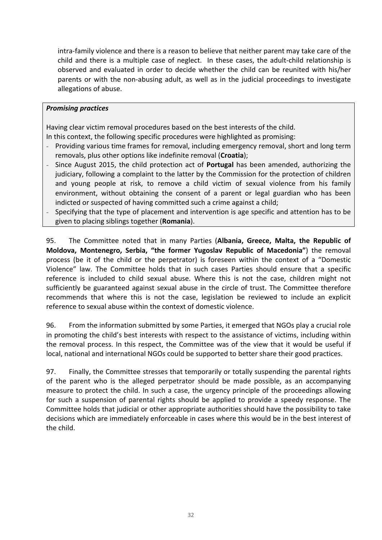intra-family violence and there is a reason to believe that neither parent may take care of the child and there is a multiple case of neglect. In these cases, the adult-child relationship is observed and evaluated in order to decide whether the child can be reunited with his/her parents or with the non-abusing adult, as well as in the judicial proceedings to investigate allegations of abuse.

### *Promising practices*

Having clear victim removal procedures based on the best interests of the child. In this context, the following specific procedures were highlighted as promising:

- Providing various time frames for removal, including emergency removal, short and long term removals, plus other options like indefinite removal (**Croatia**);
- Since August 2015, the child protection act of **Portugal** has been amended, authorizing the judiciary, following a complaint to the latter by the Commission for the protection of children and young people at risk, to remove a child victim of sexual violence from his family environment, without obtaining the consent of a parent or legal guardian who has been indicted or suspected of having committed such a crime against a child;
- Specifying that the type of placement and intervention is age specific and attention has to be given to placing siblings together (**Romania**).

95. The Committee noted that in many Parties (**Albania, Greece, Malta, the Republic of Moldova, Montenegro, Serbia, "the former Yugoslav Republic of Macedonia"**) the removal process (be it of the child or the perpetrator) is foreseen within the context of a "Domestic Violence" law. The Committee holds that in such cases Parties should ensure that a specific reference is included to child sexual abuse. Where this is not the case, children might not sufficiently be guaranteed against sexual abuse in the circle of trust. The Committee therefore recommends that where this is not the case, legislation be reviewed to include an explicit reference to sexual abuse within the context of domestic violence.

96. From the information submitted by some Parties, it emerged that NGOs play a crucial role in promoting the child's best interests with respect to the assistance of victims, including within the removal process. In this respect, the Committee was of the view that it would be useful if local, national and international NGOs could be supported to better share their good practices.

97. Finally, the Committee stresses that temporarily or totally suspending the parental rights of the parent who is the alleged perpetrator should be made possible, as an accompanying measure to protect the child. In such a case, the urgency principle of the proceedings allowing for such a suspension of parental rights should be applied to provide a speedy response. The Committee holds that judicial or other appropriate authorities should have the possibility to take decisions which are immediately enforceable in cases where this would be in the best interest of the child.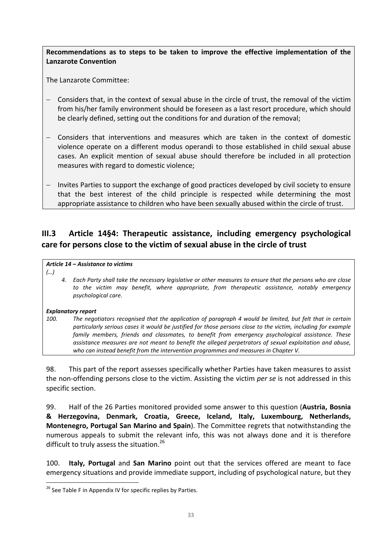**Recommendations as to steps to be taken to improve the effective implementation of the Lanzarote Convention**

The Lanzarote Committee:

- Considers that, in the context of sexual abuse in the circle of trust, the removal of the victim from his/her family environment should be foreseen as a last resort procedure, which should be clearly defined, setting out the conditions for and duration of the removal;
- Considers that interventions and measures which are taken in the context of domestic violence operate on a different modus operandi to those established in child sexual abuse cases. An explicit mention of sexual abuse should therefore be included in all protection measures with regard to domestic violence;
- Invites Parties to support the exchange of good practices developed by civil society to ensure that the best interest of the child principle is respected while determining the most appropriate assistance to children who have been sexually abused within the circle of trust.

## <span id="page-32-0"></span>**III.3 Article 14§4: Therapeutic assistance, including emergency psychological care for persons close to the victim of sexual abuse in the circle of trust**

#### *Article 14 – Assistance to victims*

*(…)*

<u>.</u>

*4. Each Party shall take the necessary legislative or other measures to ensure that the persons who are close to the victim may benefit, where appropriate, from therapeutic assistance, notably emergency psychological care.* 

#### *Explanatory report*

*100. The negotiators recognised that the application of paragraph 4 would be limited, but felt that in certain particularly serious cases it would be justified for those persons close to the victim, including for example family members, friends and classmates, to benefit from emergency psychological assistance. These assistance measures are not meant to benefit the alleged perpetrators of sexual exploitation and abuse, who can instead benefit from the intervention programmes and measures in Chapter V.*

98. This part of the report assesses specifically whether Parties have taken measures to assist the non-offending persons close to the victim. Assisting the victim *per se* is not addressed in this specific section.

99. Half of the 26 Parties monitored provided some answer to this question (**Austria, Bosnia & Herzegovina, Denmark, Croatia, Greece, Iceland, Italy, Luxembourg, Netherlands, Montenegro, Portugal San Marino and Spain**). The Committee regrets that notwithstanding the numerous appeals to submit the relevant info, this was not always done and it is therefore difficult to truly assess the situation.<sup>[26](#page-32-1)</sup>

100. **Italy, Portugal** and **San Marino** point out that the services offered are meant to face emergency situations and provide immediate support, including of psychological nature, but they

<span id="page-32-1"></span><sup>&</sup>lt;sup>26</sup> See Table F in Appendix IV for specific replies by Parties.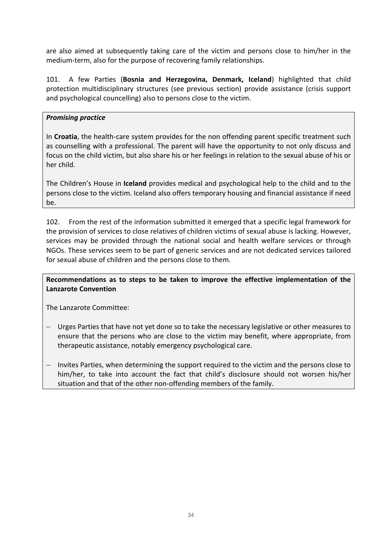are also aimed at subsequently taking care of the victim and persons close to him/her in the medium-term, also for the purpose of recovering family relationships.

101. A few Parties (**Bosnia and Herzegovina, Denmark, Iceland**) highlighted that child protection multidisciplinary structures (see previous section) provide assistance (crisis support and psychological councelling) also to persons close to the victim.

## *Promising practice*

In **Croatia**, the health-care system provides for the non offending parent specific treatment such as counselling with a professional. The parent will have the opportunity to not only discuss and focus on the child victim, but also share his or her feelings in relation to the sexual abuse of his or her child.

The Children's House in **Iceland** provides medical and psychological help to the child and to the persons close to the victim. Iceland also offers temporary housing and financial assistance if need be.

102. From the rest of the information submitted it emerged that a specific legal framework for the provision of services to close relatives of children victims of sexual abuse is lacking. However, services may be provided through the national social and health welfare services or through NGOs. These services seem to be part of generic services and are not dedicated services tailored for sexual abuse of children and the persons close to them.

**Recommendations as to steps to be taken to improve the effective implementation of the Lanzarote Convention** 

The Lanzarote Committee:

- Urges Parties that have not yet done so to take the necessary legislative or other measures to ensure that the persons who are close to the victim may benefit, where appropriate, from therapeutic assistance, notably emergency psychological care.
- <span id="page-33-0"></span>- Invites Parties, when determining the support required to the victim and the persons close to him/her, to take into account the fact that child's disclosure should not worsen his/her situation and that of the other non-offending members of the family.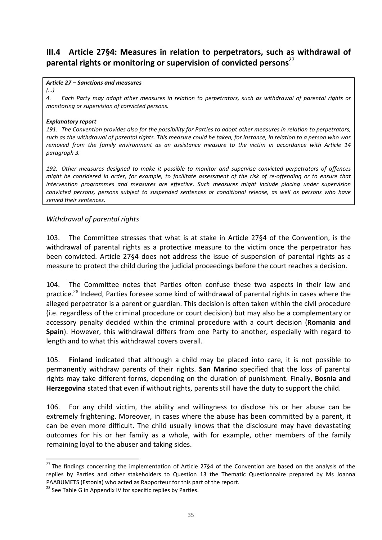## **III.4 Article 27§4: Measures in relation to perpetrators, such as withdrawal of parental rights or monitoring or supervision of convicted persons**[27](#page-34-0)

#### *Article 27 – Sanctions and measures*

*(…)*

 $\overline{a}$ 

*4. Each Party may adopt other measures in relation to perpetrators, such as withdrawal of parental rights or monitoring or supervision of convicted persons.*

#### *Explanatory report*

*191. The Convention provides also for the possibility for Parties to adopt other measures in relation to perpetrators, such as the withdrawal of parental rights. This measure could be taken, for instance, in relation to a person who was removed from the family environment as an assistance measure to the victim in accordance with Article 14 paragraph 3.*

*192. Other measures designed to make it possible to monitor and supervise convicted perpetrators of offences might be considered in order, for example, to facilitate assessment of the risk of re-offending or to ensure that intervention programmes and measures are effective. Such measures might include placing under supervision convicted persons, persons subject to suspended sentences or conditional release, as well as persons who have served their sentences.*

### *Withdrawal of parental rights*

103. The Committee stresses that what is at stake in Article 27§4 of the Convention, is the withdrawal of parental rights as a protective measure to the victim once the perpetrator has been convicted. Article 27§4 does not address the issue of suspension of parental rights as a measure to protect the child during the judicial proceedings before the court reaches a decision.

104. The Committee notes that Parties often confuse these two aspects in their law and practice.<sup>[28](#page-34-1)</sup> Indeed, Parties foresee some kind of withdrawal of parental rights in cases where the alleged perpetrator is a parent or guardian. This decision is often taken within the civil procedure (i.e. regardless of the criminal procedure or court decision) but may also be a complementary or accessory penalty decided within the criminal procedure with a court decision (**Romania and Spain**). However, this withdrawal differs from one Party to another, especially with regard to length and to what this withdrawal covers overall.

105. **Finland** indicated that although a child may be placed into care, it is not possible to permanently withdraw parents of their rights. **San Marino** specified that the loss of parental rights may take different forms, depending on the duration of punishment. Finally, **Bosnia and Herzegovina** stated that even if without rights, parents still have the duty to support the child.

106. For any child victim, the ability and willingness to disclose his or her abuse can be extremely frightening. Moreover, in cases where the abuse has been committed by a parent, it can be even more difficult. The child usually knows that the disclosure may have devastating outcomes for his or her family as a whole, with for example, other members of the family remaining loyal to the abuser and taking sides.

<span id="page-34-0"></span><sup>&</sup>lt;sup>27</sup> The findings concerning the implementation of Article 27§4 of the Convention are based on the analysis of the replies by Parties and other stakeholders to Question 13 the Thematic Questionnaire prepared by Ms Joanna PAABUMETS (Estonia) who acted as Rapporteur for this part of the report.

<span id="page-34-1"></span><sup>&</sup>lt;sup>28</sup> See Table G in Appendix IV for specific replies by Parties.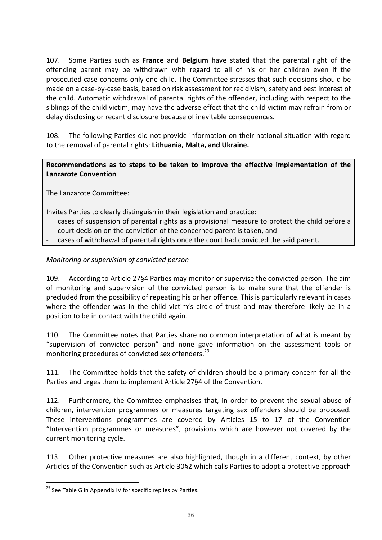107. Some Parties such as **France** and **Belgium** have stated that the parental right of the offending parent may be withdrawn with regard to all of his or her children even if the prosecuted case concerns only one child. The Committee stresses that such decisions should be made on a case-by-case basis, based on risk assessment for recidivism, safety and best interest of the child. Automatic withdrawal of parental rights of the offender, including with respect to the siblings of the child victim, may have the adverse effect that the child victim may refrain from or delay disclosing or recant disclosure because of inevitable consequences.

108. The following Parties did not provide information on their national situation with regard to the removal of parental rights: **Lithuania, Malta, and Ukraine.**

**Recommendations as to steps to be taken to improve the effective implementation of the Lanzarote Convention**

The Lanzarote Committee:

Invites Parties to clearly distinguish in their legislation and practice:

- cases of suspension of parental rights as a provisional measure to protect the child before a court decision on the conviction of the concerned parent is taken, and
- cases of withdrawal of parental rights once the court had convicted the said parent.

## *Monitoring or supervision of convicted person*

109. According to Article 27§4 Parties may monitor or supervise the convicted person. The aim of monitoring and supervision of the convicted person is to make sure that the offender is precluded from the possibility of repeating his or her offence. This is particularly relevant in cases where the offender was in the child victim's circle of trust and may therefore likely be in a position to be in contact with the child again.

110. The Committee notes that Parties share no common interpretation of what is meant by "supervision of convicted person" and none gave information on the assessment tools or monitoring procedures of convicted sex offenders.<sup>[29](#page-35-0)</sup>

111. The Committee holds that the safety of children should be a primary concern for all the Parties and urges them to implement Article 27§4 of the Convention.

112. Furthermore, the Committee emphasises that, in order to prevent the sexual abuse of children, intervention programmes or measures targeting sex offenders should be proposed. These interventions programmes are covered by Articles 15 to 17 of the Convention "Intervention programmes or measures", provisions which are however not covered by the current monitoring cycle.

113. Other protective measures are also highlighted, though in a different context, by other Articles of the Convention such as Article 30§2 which calls Parties to adopt a protective approach

<u>.</u>

<span id="page-35-0"></span><sup>&</sup>lt;sup>29</sup> See Table G in Appendix IV for specific replies by Parties.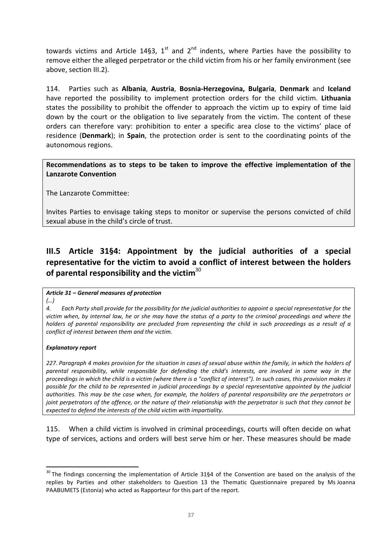towards victims and Article 14§3,  $1^{st}$  and  $2^{nd}$  indents, where Parties have the possibility to remove either the alleged perpetrator or the child victim from his or her family environment (see above, section III.2).

114. Parties such as **Albania**, **Austria**, **Bosnia-Herzegovina, Bulgaria**, **Denmark** and **Iceland** have reported the possibility to implement protection orders for the child victim. **Lithuania** states the possibility to prohibit the offender to approach the victim up to expiry of time laid down by the court or the obligation to live separately from the victim. The content of these orders can therefore vary: prohibition to enter a specific area close to the victims' place of residence (**Denmark**); in **Spain**, the protection order is sent to the coordinating points of the autonomous regions.

**Recommendations as to steps to be taken to improve the effective implementation of the Lanzarote Convention**

The Lanzarote Committee:

Invites Parties to envisage taking steps to monitor or supervise the persons convicted of child sexual abuse in the child's circle of trust.

## <span id="page-36-0"></span>**III.5 Article 31§4: Appointment by the judicial authorities of a special representative for the victim to avoid a conflict of interest between the holders of parental responsibility and the victim**[30](#page-36-1)

#### *Article 31 – General measures of protection*

*(…)*

<u>.</u>

*4. Each Party shall provide for the possibility for the judicial authorities to appoint a special representative for the victim when, by internal law, he or she may have the status of a party to the criminal proceedings and where the holders of parental responsibility are precluded from representing the child in such proceedings as a result of a conflict of interest between them and the victim.*

#### *Explanatory report*

*227. Paragraph 4 makes provision for the situation in cases of sexual abuse within the family, in which the holders of parental responsibility, while responsible for defending the child's interests, are involved in some way in the proceedings in which the child is a victim (where there is a "conflict of interest"). In such cases, this provision makes it possible for the child to be represented in judicial proceedings by a special representative appointed by the judicial authorities. This may be the case when, for example, the holders of parental responsibility are the perpetrators or joint perpetrators of the offence, or the nature of their relationship with the perpetrator is such that they cannot be expected to defend the interests of the child victim with impartiality.*

115. When a child victim is involved in criminal proceedings, courts will often decide on what type of services, actions and orders will best serve him or her. These measures should be made

<span id="page-36-1"></span><sup>&</sup>lt;sup>30</sup> The findings concerning the implementation of Article 31§4 of the Convention are based on the analysis of the replies by Parties and other stakeholders to Question 13 the Thematic Questionnaire prepared by Ms Joanna PAABUMETS (Estonia) who acted as Rapporteur for this part of the report.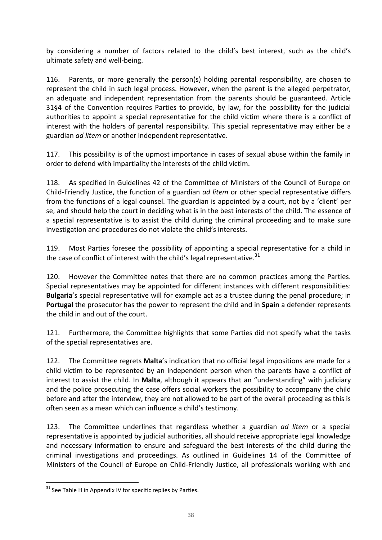by considering a number of factors related to the child's best interest, such as the child's ultimate safety and well-being.

116. Parents, or more generally the person(s) holding parental responsibility, are chosen to represent the child in such legal process. However, when the parent is the alleged perpetrator, an adequate and independent representation from the parents should be guaranteed. Article 31§4 of the Convention requires Parties to provide, by law, for the possibility for the judicial authorities to appoint a special representative for the child victim where there is a conflict of interest with the holders of parental responsibility. This special representative may either be a guardian *ad litem* or another independent representative.

117. This possibility is of the upmost importance in cases of sexual abuse within the family in order to defend with impartiality the interests of the child victim.

118. As specified in Guidelines 42 of the Committee of Ministers of the Council of Europe on Child-Friendly Justice, the function of a guardian *ad litem* or other special representative differs from the functions of a legal counsel. The guardian is appointed by a court, not by a 'client' per se, and should help the court in deciding what is in the best interests of the child. The essence of a special representative is to assist the child during the criminal proceeding and to make sure investigation and procedures do not violate the child's interests.

119. Most Parties foresee the possibility of appointing a special representative for a child in the case of conflict of interest with the child's legal representative. $31$ 

120. However the Committee notes that there are no common practices among the Parties. Special representatives may be appointed for different instances with different responsibilities: **Bulgaria**'s special representative will for example act as a trustee during the penal procedure; in **Portugal** the prosecutor has the power to represent the child and in **Spain** a defender represents the child in and out of the court.

121. Furthermore, the Committee highlights that some Parties did not specify what the tasks of the special representatives are.

122. The Committee regrets **Malta**'s indication that no official legal impositions are made for a child victim to be represented by an independent person when the parents have a conflict of interest to assist the child. In **Malta**, although it appears that an "understanding" with judiciary and the police prosecuting the case offers social workers the possibility to accompany the child before and after the interview, they are not allowed to be part of the overall proceeding as this is often seen as a mean which can influence a child's testimony.

123. The Committee underlines that regardless whether a guardian *ad litem* or a special representative is appointed by judicial authorities, all should receive appropriate legal knowledge and necessary information to ensure and safeguard the best interests of the child during the criminal investigations and proceedings. As outlined in Guidelines 14 of the Committee of Ministers of the Council of Europe on Child-Friendly Justice, all professionals working with and

<u>.</u>

<span id="page-37-0"></span> $31$  See Table H in Appendix IV for specific replies by Parties.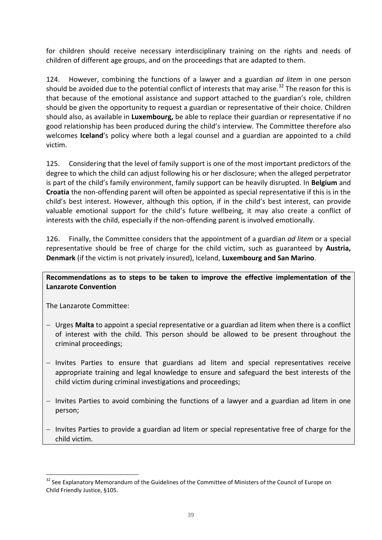for children should receive necessary interdisciplinary training on the rights and needs of children of different age groups, and on the proceedings that are adapted to them.

124. However, combining the functions of a lawyer and a guardian *ad litem* in one person should be avoided due to the potential conflict of interests that may arise.<sup>[32](#page-38-0)</sup> The reason for this is that because of the emotional assistance and support attached to the guardian's role, children should be given the opportunity to request a guardian or representative of their choice. Children should also, as available in **Luxembourg,** be able to replace their guardian or representative if no good relationship has been produced during the child's interview. The Committee therefore also welcomes **Iceland**'s policy where both a legal counsel and a guardian are appointed to a child victim.

125. Considering that the level of family support is one of the most important predictors of the degree to which the child can adjust following his or her disclosure; when the alleged perpetrator is part of the child's family environment, family support can be heavily disrupted. In **Belgium** and **Croatia** the non-offending parent will often be appointed as special representative if this is in the child's best interest. However, although this option, if in the child's best interest, can provide valuable emotional support for the child's future wellbeing, it may also create a conflict of interests with the child, especially if the non-offending parent is involved emotionally.

126. Finally, the Committee considers that the appointment of a guardian *ad litem* or a special representative should be free of charge for the child victim, such as guaranteed by **Austria, Denmark** (if the victim is not privately insured), Iceland, **Luxembourg and San Marino**.

## **Recommendations as to steps to be taken to improve the effective implementation of the Lanzarote Convention**

The Lanzarote Committee:

 $\overline{a}$ 

- Urges **Malta** to appoint a special representative or a guardian ad litem when there is a conflict of interest with the child. This person should be allowed to be present throughout the criminal proceedings;
- $-$  Invites Parties to ensure that guardians ad litem and special representatives receive appropriate training and legal knowledge to ensure and safeguard the best interests of the child victim during criminal investigations and proceedings;
- $-$  Invites Parties to avoid combining the functions of a lawyer and a guardian ad litem in one person;
- $-$  Invites Parties to provide a guardian ad litem or special representative free of charge for the child victim.

<span id="page-38-0"></span><sup>&</sup>lt;sup>32</sup> See Explanatory Memorandum of the Guidelines of the Committee of Ministers of the Council of Europe on Child Friendly Justice, §105.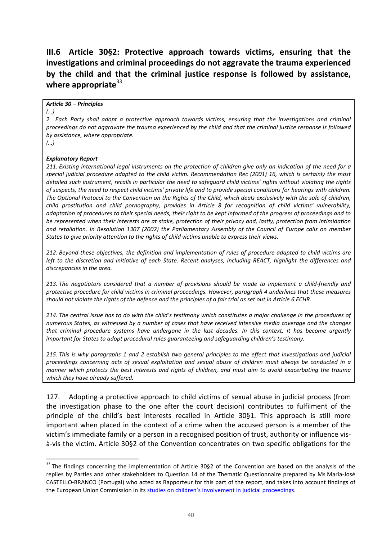## <span id="page-39-0"></span>**III.6 Article 30§2: Protective approach towards victims, ensuring that the investigations and criminal proceedings do not aggravate the trauma experienced by the child and that the criminal justice response is followed by assistance,**  where appropriate<sup>[33](#page-39-1)</sup>

#### *Article 30 – Principles*

*(…)*

*2 Each Party shall adopt a protective approach towards victims, ensuring that the investigations and criminal proceedings do not aggravate the trauma experienced by the child and that the criminal justice response is followed by assistance, where appropriate.*

*(…)*

 $\overline{a}$ 

#### *Explanatory Report*

*211. Existing international legal instruments on the protection of children give only an indication of the need for a special judicial procedure adapted to the child victim. Recommendation Rec (2001) 16, which is certainly the most detailed such instrument, recalls in particular the need to safeguard child victims' rights without violating the rights of suspects, the need to respect child victims' private life and to provide special conditions for hearings with children. The Optional Protocol to the Convention on the Rights of the Child, which deals exclusively with the sale of children, child prostitution and child pornography, provides in Article 8 for recognition of child victims' vulnerability, adaptation of procedures to their special needs, their right to be kept informed of the progress of proceedings and to be represented when their interests are at stake, protection of their privacy and, lastly, protection from intimidation and retaliation. In Resolution 1307 (2002) the Parliamentary Assembly of the Council of Europe calls on member States to give priority attention to the rights of child victims unable to express their views.*

*212. Beyond these objectives, the definition and implementation of rules of procedure adapted to child victims are left to the discretion and initiative of each State. Recent analyses, including REACT, highlight the differences and discrepancies in the area.*

*213. The negotiators considered that a number of provisions should be made to implement a child-friendly and protective procedure for child victims in criminal proceedings. However, paragraph 4 underlines that these measures should not violate the rights of the defence and the principles of a fair trial as set out in Article 6 ECHR.*

*214. The central issue has to do with the child's testimony which constitutes a major challenge in the procedures of numerous States, as witnessed by a number of cases that have received intensive media coverage and the changes that criminal procedure systems have undergone in the last decades. In this context, it has become urgently important for States to adopt procedural rules guaranteeing and safeguarding children's testimony.*

*215. This is why paragraphs 1 and 2 establish two general principles to the effect that investigations and judicial proceedings concerning acts of sexual exploitation and sexual abuse of children must always be conducted in a manner which protects the best interests and rights of children, and must aim to avoid exacerbating the trauma which they have already suffered.*

127. Adopting a protective approach to child victims of sexual abuse in judicial process (from the investigation phase to the one after the court decision) contributes to fulfilment of the principle of the child's best interests recalled in Article 30§1. This approach is still more important when placed in the context of a crime when the accused person is a member of the victim's immediate family or a person in a recognised position of trust, authority or influence visà-vis the victim. Article 30§2 of the Convention concentrates on two specific obligations for the

<span id="page-39-1"></span><sup>&</sup>lt;sup>33</sup> The findings concerning the implementation of Article 30§2 of the Convention are based on the analysis of the replies by Parties and other stakeholders to Question 14 of the Thematic Questionnaire prepared by Ms Maria-José CASTELLO-BRANCO (Portugal) who acted as Rapporteur for this part of the report, and takes into account findings of the European Union Commission in it[s studies on children's involvement in judicial proceedings.](https://ec.europa.eu/anti-trafficking/eu-policy/study-childrens-involvement-criminal-judicial-proceedings_en)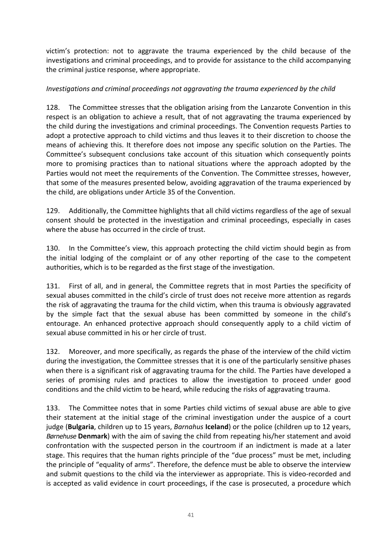victim's protection: not to aggravate the trauma experienced by the child because of the investigations and criminal proceedings, and to provide for assistance to the child accompanying the criminal justice response, where appropriate.

## *Investigations and criminal proceedings not aggravating the trauma experienced by the child*

128. The Committee stresses that the obligation arising from the Lanzarote Convention in this respect is an obligation to achieve a result, that of not aggravating the trauma experienced by the child during the investigations and criminal proceedings. The Convention requests Parties to adopt a protective approach to child victims and thus leaves it to their discretion to choose the means of achieving this. It therefore does not impose any specific solution on the Parties. The Committee's subsequent conclusions take account of this situation which consequently points more to promising practices than to national situations where the approach adopted by the Parties would not meet the requirements of the Convention. The Committee stresses, however, that some of the measures presented below, avoiding aggravation of the trauma experienced by the child, are obligations under Article 35 of the Convention.

129. Additionally, the Committee highlights that all child victims regardless of the age of sexual consent should be protected in the investigation and criminal proceedings, especially in cases where the abuse has occurred in the circle of trust.

130. In the Committee's view, this approach protecting the child victim should begin as from the initial lodging of the complaint or of any other reporting of the case to the competent authorities, which is to be regarded as the first stage of the investigation.

131. First of all, and in general, the Committee regrets that in most Parties the specificity of sexual abuses committed in the child's circle of trust does not receive more attention as regards the risk of aggravating the trauma for the child victim, when this trauma is obviously aggravated by the simple fact that the sexual abuse has been committed by someone in the child's entourage. An enhanced protective approach should consequently apply to a child victim of sexual abuse committed in his or her circle of trust.

132. Moreover, and more specifically, as regards the phase of the interview of the child victim during the investigation, the Committee stresses that it is one of the particularly sensitive phases when there is a significant risk of aggravating trauma for the child. The Parties have developed a series of promising rules and practices to allow the investigation to proceed under good conditions and the child victim to be heard, while reducing the risks of aggravating trauma.

133. The Committee notes that in some Parties child victims of sexual abuse are able to give their statement at the initial stage of the criminal investigation under the auspice of a court judge (**Bulgaria**, children up to 15 years, *Barnahus* **Iceland**) or the police (children up to 12 years, Børnehuse **Denmark**) with the aim of saving the child from repeating his/her statement and avoid confrontation with the suspected person in the courtroom if an indictment is made at a later stage. This requires that the human rights principle of the "due process" must be met, including the principle of "equality of arms". Therefore, the defence must be able to observe the interview and submit questions to the child via the interviewer as appropriate. This is video-recorded and is accepted as valid evidence in court proceedings, if the case is prosecuted, a procedure which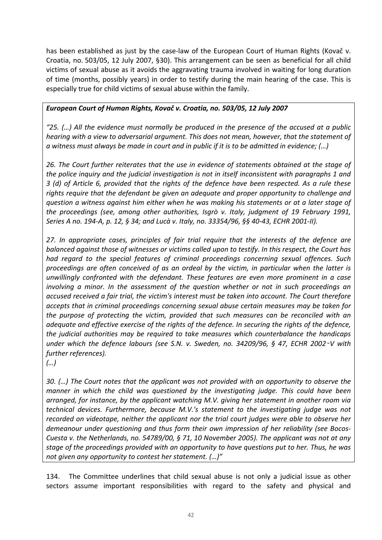has been established as just by the case-law of the European Court of Human Rights (Kovač v. Croatia, no. 503/05, 12 July 2007, §30). This arrangement can be seen as beneficial for all child victims of sexual abuse as it avoids the aggravating trauma involved in waiting for long duration of time (months, possibly years) in order to testify during the main hearing of the case. This is especially true for child victims of sexual abuse within the family.

### *European Court of Human Rights, Kovač v. Croatia, no. 503/05, 12 July 2007*

*"25. (…) All the evidence must normally be produced in the presence of the accused at a public hearing with a view to adversarial argument. This does not mean, however, that the statement of a witness must always be made in court and in public if it is to be admitted in evidence; (…)*

*26. The Court further reiterates that the use in evidence of statements obtained at the stage of the police inquiry and the judicial investigation is not in itself inconsistent with paragraphs 1 and 3 (d) of Article 6, provided that the rights of the defence have been respected. As a rule these rights require that the defendant be given an adequate and proper opportunity to challenge and question a witness against him either when he was making his statements or at a later stage of the proceedings (see, among other authorities, Isgrò v. Italy, judgment of 19 February 1991, Series A no. 194-A, p. 12, § 34; and Lucà v. Italy, no. 33354/96, §§ 40-43, ECHR 2001-II).*

*27. In appropriate cases, principles of fair trial require that the interests of the defence are balanced against those of witnesses or victims called upon to testify. In this respect, the Court has had regard to the special features of criminal proceedings concerning sexual offences. Such proceedings are often conceived of as an ordeal by the victim, in particular when the latter is unwillingly confronted with the defendant. These features are even more prominent in a case involving a minor. In the assessment of the question whether or not in such proceedings an accused received a fair trial, the victim's interest must be taken into account. The Court therefore accepts that in criminal proceedings concerning sexual abuse certain measures may be taken for the purpose of protecting the victim, provided that such measures can be reconciled with an adequate and effective exercise of the rights of the defence. In securing the rights of the defence, the judicial authorities may be required to take measures which counterbalance the handicaps under which the defence labours (see S.N. v. Sweden, no. 34209/96, § 47, ECHR 2002*‑*V with further references).*

*(…)*

*30. (…) The Court notes that the applicant was not provided with an opportunity to observe the manner in which the child was questioned by the investigating judge. This could have been arranged, for instance, by the applicant watching M.V. giving her statement in another room via technical devices. Furthermore, because M.V.'s statement to the investigating judge was not recorded on videotape, neither the applicant nor the trial court judges were able to observe her demeanour under questioning and thus form their own impression of her reliability (see Bocos-Cuesta v. the Netherlands, no. 54789/00, § 71, 10 November 2005). The applicant was not at any stage of the proceedings provided with an opportunity to have questions put to her. Thus, he was not given any opportunity to contest her statement. (…)"*

134. The Committee underlines that child sexual abuse is not only a judicial issue as other sectors assume important responsibilities with regard to the safety and physical and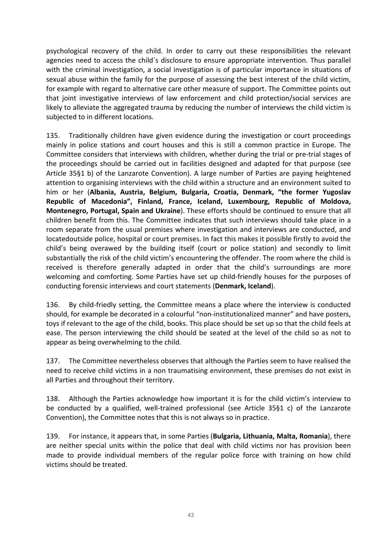psychological recovery of the child. In order to carry out these responsibilities the relevant agencies need to access the child´s disclosure to ensure appropriate intervention. Thus parallel with the criminal investigation, a social investigation is of particular importance in situations of sexual abuse within the family for the purpose of assessing the best interest of the child victim, for example with regard to alternative care other measure of support. The Committee points out that joint investigative interviews of law enforcement and child protection/social services are likely to alleviate the aggregated trauma by reducing the number of interviews the child victim is subjected to in different locations.

135. Traditionally children have given evidence during the investigation or court proceedings mainly in police stations and court houses and this is still a common practice in Europe. The Committee considers that interviews with children, whether during the trial or pre-trial stages of the proceedings should be carried out in facilities designed and adapted for that purpose (see Article 35§1 b) of the Lanzarote Convention). A large number of Parties are paying heightened attention to organising interviews with the child within a structure and an environment suited to him or her (**Albania, Austria, Belgium, Bulgaria, Croatia, Denmark, "the former Yugoslav Republic of Macedonia", Finland, France, Iceland, Luxembourg, Republic of Moldova, Montenegro, Portugal, Spain and Ukraine**). These efforts should be continued to ensure that all children benefit from this. The Committee indicates that such interviews should take place in a room separate from the usual premises where investigation and interviews are conducted, and locatedoutside police, hospital or court premises. In fact this makes it possible firstly to avoid the child's being overawed by the building itself (court or police station) and secondly to limit substantially the risk of the child victim's encountering the offender. The room where the child is received is therefore generally adapted in order that the child's surroundings are more welcoming and comforting. Some Parties have set up child-friendly houses for the purposes of conducting forensic interviews and court statements (**Denmark, Iceland**).

136. By child-friedly setting, the Committee means a place where the interview is conducted should, for example be decorated in a colourful "non-institutionalized manner" and have posters, toys if relevant to the age of the child, books. This place should be set up so that the child feels at ease. The person interviewing the child should be seated at the level of the child so as not to appear as being overwhelming to the child.

137. The Committee nevertheless observes that although the Parties seem to have realised the need to receive child victims in a non traumatising environment, these premises do not exist in all Parties and throughout their territory.

138. Although the Parties acknowledge how important it is for the child victim's interview to be conducted by a qualified, well-trained professional (see Article 35§1 c) of the Lanzarote Convention), the Committee notes that this is not always so in practice.

139. For instance, it appears that, in some Parties (**Bulgaria, Lithuania, Malta, Romania**), there are neither special units within the police that deal with child victims nor has provision been made to provide individual members of the regular police force with training on how child victims should be treated.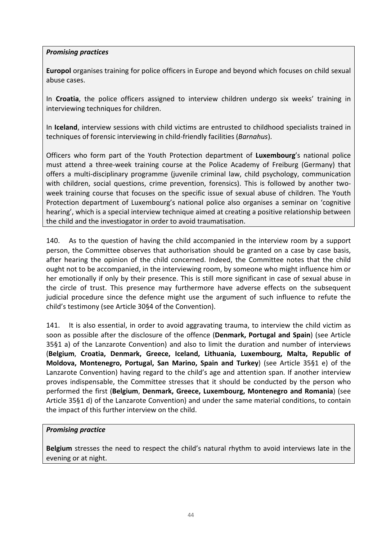### *Promising practices*

**Europol** organises training for police officers in Europe and beyond which focuses on child sexual abuse cases.

In **Croatia**, the police officers assigned to interview children undergo six weeks' training in interviewing techniques for children.

In **Iceland**, interview sessions with child victims are entrusted to childhood specialists trained in techniques of forensic interviewing in child-friendly facilities (*Barnahus*).

Officers who form part of the Youth Protection department of **Luxembourg**'s national police must attend a three-week training course at the Police Academy of Freiburg (Germany) that offers a multi-disciplinary programme (juvenile criminal law, child psychology, communication with children, social questions, crime prevention, forensics). This is followed by another twoweek training course that focuses on the specific issue of sexual abuse of children. The Youth Protection department of Luxembourg's national police also organises a seminar on 'cognitive hearing', which is a special interview technique aimed at creating a positive relationship between the child and the investiogator in order to avoid traumatisation.

140. As to the question of having the child accompanied in the interview room by a support person, the Committee observes that authorisation should be granted on a case by case basis, after hearing the opinion of the child concerned. Indeed, the Committee notes that the child ought not to be accompanied, in the interviewing room, by someone who might influence him or her emotionally if only by their presence. This is still more significant in case of sexual abuse in the circle of trust. This presence may furthermore have adverse effects on the subsequent judicial procedure since the defence might use the argument of such influence to refute the child's testimony (see Article 30§4 of the Convention).

141. It is also essential, in order to avoid aggravating trauma, to interview the child victim as soon as possible after the disclosure of the offence (**Denmark, Portugal and Spain**) (see Article 35§1 a) of the Lanzarote Convention) and also to limit the duration and number of interviews (**Belgium**, **Croatia, Denmark, Greece, Iceland, Lithuania, Luxembourg, Malta, Republic of Moldova, Montenegro, Portugal, San Marino, Spain and Turkey**) (see Article 35§1 e) of the Lanzarote Convention) having regard to the child's age and attention span. If another interview proves indispensable, the Committee stresses that it should be conducted by the person who performed the first (**Belgium**, **Denmark, Greece, Luxembourg, Montenegro and Romania**) (see Article 35§1 d) of the Lanzarote Convention) and under the same material conditions, to contain the impact of this further interview on the child.

## *Promising practice*

**Belgium** stresses the need to respect the child's natural rhythm to avoid interviews late in the evening or at night.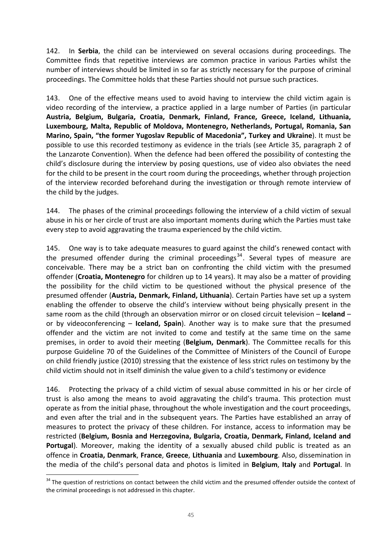142. In **Serbia**, the child can be interviewed on several occasions during proceedings. The Committee finds that repetitive interviews are common practice in various Parties whilst the number of interviews should be limited in so far as strictly necessary for the purpose of criminal proceedings. The Committee holds that these Parties should not pursue such practices.

143. One of the effective means used to avoid having to interview the child victim again is video recording of the interview, a practice applied in a large number of Parties (in particular **Austria, Belgium, Bulgaria, Croatia, Denmark, Finland, France, Greece, Iceland, Lithuania, Luxembourg, Malta, Republic of Moldova, Montenegro, Netherlands, Portugal, Romania, San Marino, Spain, "the former Yugoslav Republic of Macedonia", Turkey and Ukraine**). It must be possible to use this recorded testimony as evidence in the trials (see Article 35, paragraph 2 of the Lanzarote Convention). When the defence had been offered the possibility of contesting the child's disclosure during the interview by posing questions, use of video also obviates the need for the child to be present in the court room during the proceedings, whether through projection of the interview recorded beforehand during the investigation or through remote interview of the child by the judges.

144. The phases of the criminal proceedings following the interview of a child victim of sexual abuse in his or her circle of trust are also important moments during which the Parties must take every step to avoid aggravating the trauma experienced by the child victim.

145. One way is to take adequate measures to guard against the child's renewed contact with the presumed offender during the criminal proceedings<sup>[34](#page-44-0)</sup>. Several types of measure are conceivable. There may be a strict ban on confronting the child victim with the presumed offender (**Croatia, Montenegro** for children up to 14 years). It may also be a matter of providing the possibility for the child victim to be questioned without the physical presence of the presumed offender (**Austria, Denmark, Finland, Lithuania**). Certain Parties have set up a system enabling the offender to observe the child's interview without being physically present in the same room as the child (through an observation mirror or on closed circuit television – **Iceland** – or by videoconferencing – **Iceland, Spain**). Another way is to make sure that the presumed offender and the victim are not invited to come and testify at the same time on the same premises, in order to avoid their meeting (**Belgium, Denmark**). The Committee recalls for this purpose Guideline 70 of the Guidelines of the Committee of Ministers of the Council of Europe on child friendly justice (2010) stressing that the existence of less strict rules on testimony by the child victim should not in itself diminish the value given to a child's testimony or evidence

146. Protecting the privacy of a child victim of sexual abuse committed in his or her circle of trust is also among the means to avoid aggravating the child's trauma. This protection must operate as from the initial phase, throughout the whole investigation and the court proceedings, and even after the trial and in the subsequent years. The Parties have established an array of measures to protect the privacy of these children. For instance, access to information may be restricted (**Belgium, Bosnia and Herzegovina, Bulgaria, Croatia, Denmark, Finland, Iceland and Portugal**). Moreover, making the identity of a sexually abused child public is treated as an offence in **Croatia, Denmark**, **France**, **Greece**, **Lithuania** and **Luxembourg**. Also, dissemination in the media of the child's personal data and photos is limited in **Belgium**, **Italy** and **Portugal**. In

 $\overline{a}$ 

<span id="page-44-0"></span><sup>&</sup>lt;sup>34</sup> The question of restrictions on contact between the child victim and the presumed offender outside the context of the criminal proceedings is not addressed in this chapter.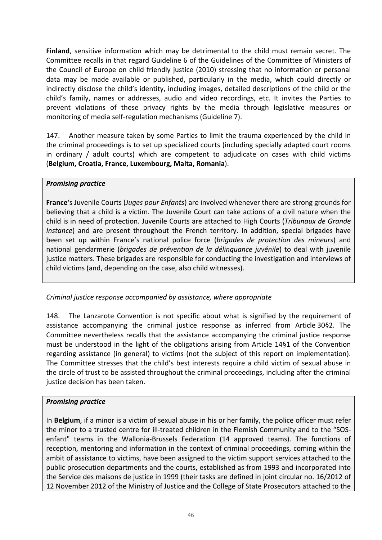**Finland**, sensitive information which may be detrimental to the child must remain secret. The Committee recalls in that regard Guideline 6 of the Guidelines of the Committee of Ministers of the Council of Europe on child friendly justice (2010) stressing that no information or personal data may be made available or published, particularly in the media, which could directly or indirectly disclose the child's identity, including images, detailed descriptions of the child or the child's family, names or addresses, audio and video recordings, etc. It invites the Parties to prevent violations of these privacy rights by the media through legislative measures or monitoring of media self-regulation mechanisms (Guideline 7).

147. Another measure taken by some Parties to limit the trauma experienced by the child in the criminal proceedings is to set up specialized courts (including specially adapted court rooms in ordinary / adult courts) which are competent to adjudicate on cases with child victims (**Belgium, Croatia, France, Luxembourg, Malta, Romania**).

### *Promising practice*

**France**'s Juvenile Courts (*Juges pour Enfants*) are involved whenever there are strong grounds for believing that a child is a victim. The Juvenile Court can take actions of a civil nature when the child is in need of protection. Juvenile Courts are attached to High Courts (*Tribunaux de Grande Instance*) and are present throughout the French territory. In addition, special brigades have been set up within France's national police force (*brigades de protection des mineurs*) and national gendarmerie (*brigades de prévention de la délinquance juvénile*) to deal with juvenile justice matters. These brigades are responsible for conducting the investigation and interviews of child victims (and, depending on the case, also child witnesses).

## *Criminal justice response accompanied by assistance, where appropriate*

148. The Lanzarote Convention is not specific about what is signified by the requirement of assistance accompanying the criminal justice response as inferred from Article 30§2. The Committee nevertheless recalls that the assistance accompanying the criminal justice response must be understood in the light of the obligations arising from Article 14§1 of the Convention regarding assistance (in general) to victims (not the subject of this report on implementation). The Committee stresses that the child's best interests require a child victim of sexual abuse in the circle of trust to be assisted throughout the criminal proceedings, including after the criminal justice decision has been taken.

#### *Promising practice*

In **Belgium**, if a minor is a victim of sexual abuse in his or her family, the police officer must refer the minor to a trusted centre for ill-treated children in the Flemish Community and to the "SOSenfant" teams in the Wallonia-Brussels Federation (14 approved teams). The functions of reception, mentoring and information in the context of criminal proceedings, coming within the ambit of assistance to victims, have been assigned to the victim support services attached to the public prosecution departments and the courts, established as from 1993 and incorporated into the Service des maisons de justice in 1999 (their tasks are defined in joint circular no. 16/2012 of 12 November 2012 of the Ministry of Justice and the College of State Prosecutors attached to the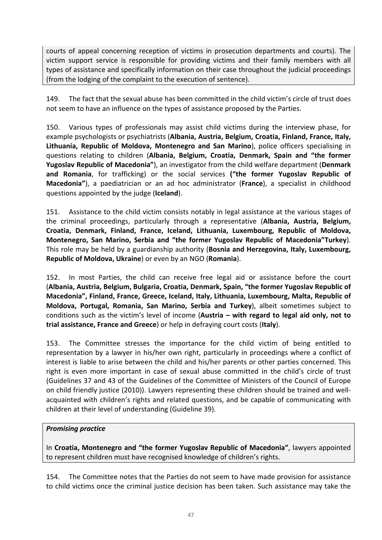courts of appeal concerning reception of victims in prosecution departments and courts). The victim support service is responsible for providing victims and their family members with all types of assistance and specifically information on their case throughout the judicial proceedings (from the lodging of the complaint to the execution of sentence).

149. The fact that the sexual abuse has been committed in the child victim's circle of trust does not seem to have an influence on the types of assistance proposed by the Parties.

150. Various types of professionals may assist child victims during the interview phase, for example psychologists or psychiatrists (**Albania, Austria, Belgium, Croatia, Finland, France, Italy, Lithuania, Republic of Moldova, Montenegro and San Marino**), police officers specialising in questions relating to children (**Albania, Belgium, Croatia, Denmark, Spain and "the former Yugoslav Republic of Macedonia"**), an investigator from the child welfare department (**Denmark and Romania**, for trafficking) or the social services **("the former Yugoslav Republic of Macedonia"**), a paediatrician or an ad hoc administrator (**France**), a specialist in childhood questions appointed by the judge (**Iceland**).

151. Assistance to the child victim consists notably in legal assistance at the various stages of the criminal proceedings, particularly through a representative (**Albania, Austria, Belgium, Croatia, Denmark, Finland, France, Iceland, Lithuania, Luxembourg, Republic of Moldova, Montenegro, San Marino, Serbia and "the former Yugoslav Republic of Macedonia"Turkey**). This role may be held by a guardianship authority (**Bosnia and Herzegovina, Italy, Luxembourg, Republic of Moldova, Ukraine**) or even by an NGO (**Romania**).

152. In most Parties, the child can receive free legal aid or assistance before the court (**Albania, Austria, Belgium, Bulgaria, Croatia, Denmark, Spain, "the former Yugoslav Republic of Macedonia", Finland, France, Greece, Iceland, Italy, Lithuania, Luxembourg, Malta, Republic of Moldova, Portugal, Romania, San Marino, Serbia and Turkey**), albeit sometimes subject to conditions such as the victim's level of income (**Austria – with regard to legal aid only, not to trial assistance, France and Greece**) or help in defraying court costs (**Italy**).

153. The Committee stresses the importance for the child victim of being entitled to representation by a lawyer in his/her own right, particularly in proceedings where a conflict of interest is liable to arise between the child and his/her parents or other parties concerned. This right is even more important in case of sexual abuse committed in the child's circle of trust (Guidelines 37 and 43 of the Guidelines of the Committee of Ministers of the Council of Europe on child friendly justice (2010)). Lawyers representing these children should be trained and wellacquainted with children's rights and related questions, and be capable of communicating with children at their level of understanding (Guideline 39).

## *Promising practice*

In **Croatia, Montenegro and "the former Yugoslav Republic of Macedonia"**, lawyers appointed to represent children must have recognised knowledge of children's rights.

154. The Committee notes that the Parties do not seem to have made provision for assistance to child victims once the criminal justice decision has been taken. Such assistance may take the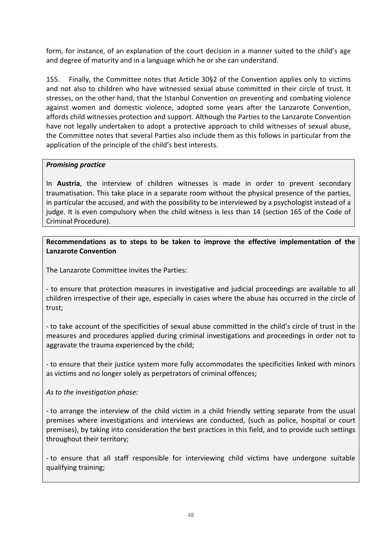form, for instance, of an explanation of the court decision in a manner suited to the child's age and degree of maturity and in a language which he or she can understand.

155. Finally, the Committee notes that Article 30§2 of the Convention applies only to victims and not also to children who have witnessed sexual abuse committed in their circle of trust. It stresses, on the other hand, that the Istanbul Convention on preventing and combating violence against women and domestic violence, adopted some years after the Lanzarote Convention, affords child witnesses protection and support. Although the Parties to the Lanzarote Convention have not legally undertaken to adopt a protective approach to child witnesses of sexual abuse, the Committee notes that several Parties also include them as this follows in particular from the application of the principle of the child's best interests.

## *Promising practice*

In **Austria**, the interview of children witnesses is made in order to prevent secondary traumatisation. This take place in a separate room without the physical presence of the parties, in particular the accused, and with the possibility to be interviewed by a psychologist instead of a judge. It is even compulsory when the child witness is less than 14 (section 165 of the Code of Criminal Procedure).

**Recommendations as to steps to be taken to improve the effective implementation of the Lanzarote Convention**

The Lanzarote Committee invites the Parties:

- to ensure that protection measures in investigative and judicial proceedings are available to all children irrespective of their age, especially in cases where the abuse has occurred in the circle of trust;

- to take account of the specificities of sexual abuse committed in the child's circle of trust in the measures and procedures applied during criminal investigations and proceedings in order not to aggravate the trauma experienced by the child;

- to ensure that their justice system more fully accommodates the specificities linked with minors as victims and no longer solely as perpetrators of criminal offences;

*As to the investigation phase:*

- to arrange the interview of the child victim in a child friendly setting separate from the usual premises where investigations and interviews are conducted, (such as police, hospital or court premises), by taking into consideration the best practices in this field, and to provide such settings throughout their territory;

- to ensure that all staff responsible for interviewing child victims have undergone suitable qualifying training;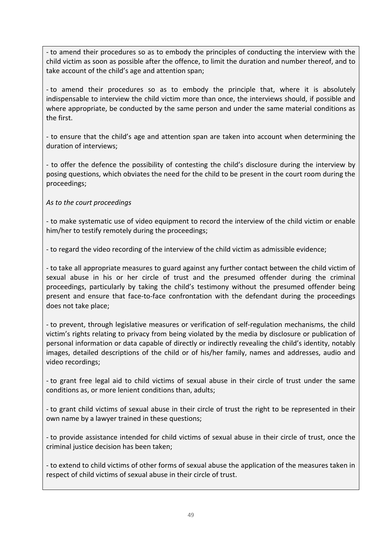- to amend their procedures so as to embody the principles of conducting the interview with the child victim as soon as possible after the offence, to limit the duration and number thereof, and to take account of the child's age and attention span;

- to amend their procedures so as to embody the principle that, where it is absolutely indispensable to interview the child victim more than once, the interviews should, if possible and where appropriate, be conducted by the same person and under the same material conditions as the first.

- to ensure that the child's age and attention span are taken into account when determining the duration of interviews;

- to offer the defence the possibility of contesting the child's disclosure during the interview by posing questions, which obviates the need for the child to be present in the court room during the proceedings;

## *As to the court proceedings*

- to make systematic use of video equipment to record the interview of the child victim or enable him/her to testify remotely during the proceedings;

- to regard the video recording of the interview of the child victim as admissible evidence;

- to take all appropriate measures to guard against any further contact between the child victim of sexual abuse in his or her circle of trust and the presumed offender during the criminal proceedings, particularly by taking the child's testimony without the presumed offender being present and ensure that face-to-face confrontation with the defendant during the proceedings does not take place;

- to prevent, through legislative measures or verification of self-regulation mechanisms, the child victim's rights relating to privacy from being violated by the media by disclosure or publication of personal information or data capable of directly or indirectly revealing the child's identity, notably images, detailed descriptions of the child or of his/her family, names and addresses, audio and video recordings;

- to grant free legal aid to child victims of sexual abuse in their circle of trust under the same conditions as, or more lenient conditions than, adults;

- to grant child victims of sexual abuse in their circle of trust the right to be represented in their own name by a lawyer trained in these questions;

- to provide assistance intended for child victims of sexual abuse in their circle of trust, once the criminal justice decision has been taken;

- to extend to child victims of other forms of sexual abuse the application of the measures taken in respect of child victims of sexual abuse in their circle of trust.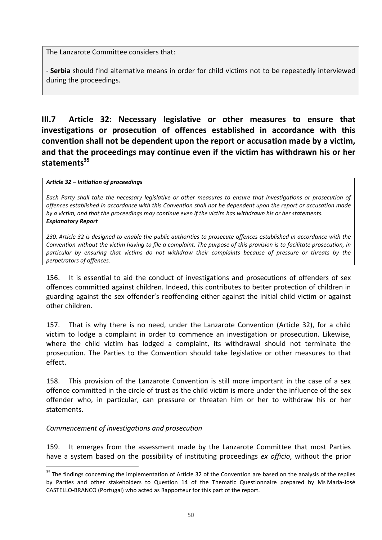The Lanzarote Committee considers that:

- **Serbia** should find alternative means in order for child victims not to be repeatedly interviewed during the proceedings.

<span id="page-49-0"></span>**III.7 Article 32: Necessary legislative or other measures to ensure that investigations or prosecution of offences established in accordance with this convention shall not be dependent upon the report or accusation made by a victim, and that the proceedings may continue even if the victim has withdrawn his or her statements[35](#page-49-1)**

#### *Article 32 – Initiation of proceedings*

*Each Party shall take the necessary legislative or other measures to ensure that investigations or prosecution of offences established in accordance with this Convention shall not be dependent upon the report or accusation made by a victim, and that the proceedings may continue even if the victim has withdrawn his or her statements. Explanatory Report*

*230. Article 32 is designed to enable the public authorities to prosecute offences established in accordance with the Convention without the victim having to file a complaint. The purpose of this provision is to facilitate prosecution, in particular by ensuring that victims do not withdraw their complaints because of pressure or threats by the perpetrators of offences.*

156. It is essential to aid the conduct of investigations and prosecutions of offenders of sex offences committed against children. Indeed, this contributes to better protection of children in guarding against the sex offender's reoffending either against the initial child victim or against other children.

157. That is why there is no need, under the Lanzarote Convention (Article 32), for a child victim to lodge a complaint in order to commence an investigation or prosecution. Likewise, where the child victim has lodged a complaint, its withdrawal should not terminate the prosecution. The Parties to the Convention should take legislative or other measures to that effect.

158. This provision of the Lanzarote Convention is still more important in the case of a sex offence committed in the circle of trust as the child victim is more under the influence of the sex offender who, in particular, can pressure or threaten him or her to withdraw his or her statements.

## *Commencement of investigations and prosecution*

<u>.</u>

159. It emerges from the assessment made by the Lanzarote Committee that most Parties have a system based on the possibility of instituting proceedings *ex officio*, without the prior

<span id="page-49-1"></span><sup>&</sup>lt;sup>35</sup> The findings concerning the implementation of Article 32 of the Convention are based on the analysis of the replies by Parties and other stakeholders to Question 14 of the Thematic Questionnaire prepared by Ms Maria-José CASTELLO-BRANCO (Portugal) who acted as Rapporteur for this part of the report.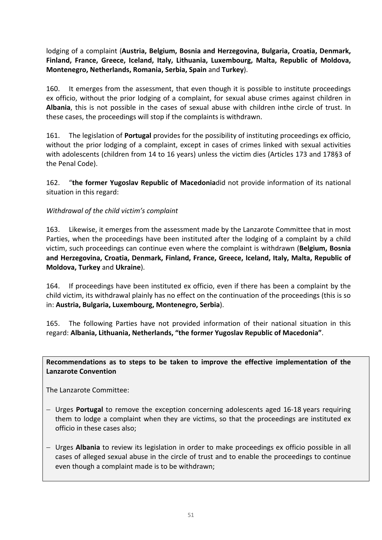lodging of a complaint (**Austria, Belgium, Bosnia and Herzegovina, Bulgaria, Croatia, Denmark, Finland, France, Greece, Iceland, Italy, Lithuania, Luxembourg, Malta, Republic of Moldova, Montenegro, Netherlands, Romania, Serbia, Spain** and **Turkey**).

160. It emerges from the assessment, that even though it is possible to institute proceedings ex officio, without the prior lodging of a complaint, for sexual abuse crimes against children in **Albania**, this is not possible in the cases of sexual abuse with children inthe circle of trust. In these cases, the proceedings will stop if the complaints is withdrawn.

161. The legislation of **Portugal** provides for the possibility of instituting proceedings ex officio, without the prior lodging of a complaint, except in cases of crimes linked with sexual activities with adolescents (children from 14 to 16 years) unless the victim dies (Articles 173 and 178§3 of the Penal Code).

162. "**the former Yugoslav Republic of Macedonia**did not provide information of its national situation in this regard:

## *Withdrawal of the child victim's complaint*

163. Likewise, it emerges from the assessment made by the Lanzarote Committee that in most Parties, when the proceedings have been instituted after the lodging of a complaint by a child victim, such proceedings can continue even where the complaint is withdrawn (**Belgium, Bosnia and Herzegovina, Croatia, Denmark, Finland, France, Greece, Iceland, Italy, Malta, Republic of Moldova, Turkey** and **Ukraine**).

164. If proceedings have been instituted ex officio, even if there has been a complaint by the child victim, its withdrawal plainly has no effect on the continuation of the proceedings (this is so in: **Austria, Bulgaria, Luxembourg, Montenegro, Serbia**).

165. The following Parties have not provided information of their national situation in this regard: **Albania, Lithuania, Netherlands, "the former Yugoslav Republic of Macedonia"**.

**Recommendations as to steps to be taken to improve the effective implementation of the Lanzarote Convention**

The Lanzarote Committee:

- Urges Portugal to remove the exception concerning adolescents aged 16-18 years requiring them to lodge a complaint when they are victims, so that the proceedings are instituted ex officio in these cases also;
- Urges **Albania** to review its legislation in order to make proceedings ex officio possible in all cases of alleged sexual abuse in the circle of trust and to enable the proceedings to continue even though a complaint made is to be withdrawn;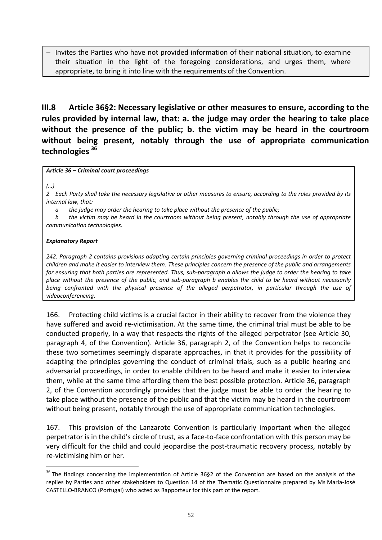- Invites the Parties who have not provided information of their national situation, to examine their situation in the light of the foregoing considerations, and urges them, where appropriate, to bring it into line with the requirements of the Convention.

<span id="page-51-0"></span>**III.8 Article 36§2: Necessary legislative or other measures to ensure, according to the rules provided by internal law, that: a. the judge may order the hearing to take place without the presence of the public; b. the victim may be heard in the courtroom without being present, notably through the use of appropriate communication technologies [36](#page-51-1)**

*Article 36 – Criminal court proceedings*

*(…)*

<u>.</u>

*2 Each Party shall take the necessary legislative or other measures to ensure, according to the rules provided by its internal law, that:*

*a the judge may order the hearing to take place without the presence of the public;* 

*b the victim may be heard in the courtroom without being present, notably through the use of appropriate communication technologies.*

#### *Explanatory Report*

*242. Paragraph 2 contains provisions adapting certain principles governing criminal proceedings in order to protect children and make it easier to interview them. These principles concern the presence of the public and arrangements for ensuring that both parties are represented. Thus, sub-paragraph a allows the judge to order the hearing to take place without the presence of the public, and sub-paragraph b enables the child to be heard without necessarily being confronted with the physical presence of the alleged perpetrator, in particular through the use of videoconferencing.*

166. Protecting child victims is a crucial factor in their ability to recover from the violence they have suffered and avoid re-victimisation. At the same time, the criminal trial must be able to be conducted properly, in a way that respects the rights of the alleged perpetrator (see Article 30, paragraph 4, of the Convention). Article 36, paragraph 2, of the Convention helps to reconcile these two sometimes seemingly disparate approaches, in that it provides for the possibility of adapting the principles governing the conduct of criminal trials, such as a public hearing and adversarial proceedings, in order to enable children to be heard and make it easier to interview them, while at the same time affording them the best possible protection. Article 36, paragraph 2, of the Convention accordingly provides that the judge must be able to order the hearing to take place without the presence of the public and that the victim may be heard in the courtroom without being present, notably through the use of appropriate communication technologies.

167. This provision of the Lanzarote Convention is particularly important when the alleged perpetrator is in the child's circle of trust, as a face-to-face confrontation with this person may be very difficult for the child and could jeopardise the post-traumatic recovery process, notably by re-victimising him or her.

<span id="page-51-1"></span><sup>&</sup>lt;sup>36</sup> The findings concerning the implementation of Article 36§2 of the Convention are based on the analysis of the replies by Parties and other stakeholders to Question 14 of the Thematic Questionnaire prepared by Ms Maria-José CASTELLO-BRANCO (Portugal) who acted as Rapporteur for this part of the report.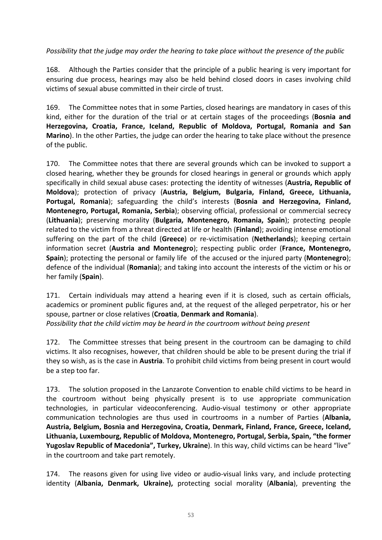## *Possibility that the judge may order the hearing to take place without the presence of the public*

168. Although the Parties consider that the principle of a public hearing is very important for ensuring due process, hearings may also be held behind closed doors in cases involving child victims of sexual abuse committed in their circle of trust.

169. The Committee notes that in some Parties, closed hearings are mandatory in cases of this kind, either for the duration of the trial or at certain stages of the proceedings (**Bosnia and Herzegovina, Croatia, France, Iceland, Republic of Moldova, Portugal, Romania and San Marino**). In the other Parties, the judge can order the hearing to take place without the presence of the public.

170. The Committee notes that there are several grounds which can be invoked to support a closed hearing, whether they be grounds for closed hearings in general or grounds which apply specifically in child sexual abuse cases: protecting the identity of witnesses (**Austria, Republic of Moldova**); protection of privacy (**Austria, Belgium, Bulgaria, Finland, Greece, Lithuania, Portugal, Romania**); safeguarding the child's interests (**Bosnia and Herzegovina, Finland, Montenegro, Portugal, Romania, Serbia**); observing official, professional or commercial secrecy (**Lithuania**); preserving morality (**Bulgaria, Montenegro, Romania, Spain**); protecting people related to the victim from a threat directed at life or health (**Finland**); avoiding intense emotional suffering on the part of the child (**Greece**) or re-victimisation (**Netherlands**); keeping certain information secret (**Austria and Montenegro**); respecting public order (**France, Montenegro, Spain**); protecting the personal or family life of the accused or the injured party (**Montenegro**); defence of the individual (**Romania**); and taking into account the interests of the victim or his or her family (**Spain**).

171. Certain individuals may attend a hearing even if it is closed, such as certain officials, academics or prominent public figures and, at the request of the alleged perpetrator, his or her spouse, partner or close relatives (**Croatia**, **Denmark and Romania**).

*Possibility that the child victim may be heard in the courtroom without being present*

172. The Committee stresses that being present in the courtroom can be damaging to child victims. It also recognises, however, that children should be able to be present during the trial if they so wish, as is the case in **Austria**. To prohibit child victims from being present in court would be a step too far.

173. The solution proposed in the Lanzarote Convention to enable child victims to be heard in the courtroom without being physically present is to use appropriate communication technologies, in particular videoconferencing. Audio-visual testimony or other appropriate communication technologies are thus used in courtrooms in a number of Parties (**Albania, Austria, Belgium, Bosnia and Herzegovina, Croatia, Denmark, Finland, France, Greece, Iceland, Lithuania, Luxembourg, Republic of Moldova, Montenegro, Portugal, Serbia, Spain, "the former Yugoslav Republic of Macedonia", Turkey, Ukraine**). In this way, child victims can be heard "live" in the courtroom and take part remotely.

174. The reasons given for using live video or audio-visual links vary, and include protecting identity (**Albania, Denmark, Ukraine),** protecting social morality (**Albania**), preventing the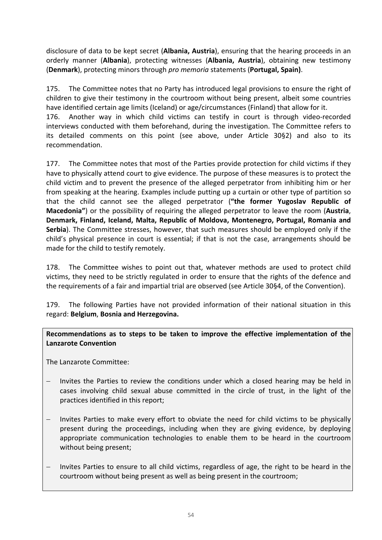disclosure of data to be kept secret (**Albania, Austria**), ensuring that the hearing proceeds in an orderly manner (**Albania**), protecting witnesses (**Albania, Austria**), obtaining new testimony (**Denmark**), protecting minors through *pro memoria* statements (**Portugal, Spain)**.

175. The Committee notes that no Party has introduced legal provisions to ensure the right of children to give their testimony in the courtroom without being present, albeit some countries have identified certain age limits (Iceland) or age/circumstances (Finland) that allow for it. 176. Another way in which child victims can testify in court is through video-recorded

interviews conducted with them beforehand, during the investigation. The Committee refers to its detailed comments on this point (see above, under Article 30§2) and also to its recommendation.

177. The Committee notes that most of the Parties provide protection for child victims if they have to physically attend court to give evidence. The purpose of these measures is to protect the child victim and to prevent the presence of the alleged perpetrator from inhibiting him or her from speaking at the hearing. Examples include putting up a curtain or other type of partition so that the child cannot see the alleged perpetrator (**"the former Yugoslav Republic of Macedonia"**) or the possibility of requiring the alleged perpetrator to leave the room (**Austria**, **Denmark, Finland, Iceland, Malta, Republic of Moldova, Montenegro, Portugal, Romania and Serbia**). The Committee stresses, however, that such measures should be employed only if the child's physical presence in court is essential; if that is not the case, arrangements should be made for the child to testify remotely.

178. The Committee wishes to point out that, whatever methods are used to protect child victims, they need to be strictly regulated in order to ensure that the rights of the defence and the requirements of a fair and impartial trial are observed (see Article 30§4, of the Convention).

179. The following Parties have not provided information of their national situation in this regard: **Belgium**, **Bosnia and Herzegovina.**

**Recommendations as to steps to be taken to improve the effective implementation of the Lanzarote Convention**

The Lanzarote Committee:

- Invites the Parties to review the conditions under which a closed hearing may be held in cases involving child sexual abuse committed in the circle of trust, in the light of the practices identified in this report;
- Invites Parties to make every effort to obviate the need for child victims to be physically present during the proceedings, including when they are giving evidence, by deploying appropriate communication technologies to enable them to be heard in the courtroom without being present;
- Invites Parties to ensure to all child victims, regardless of age, the right to be heard in the courtroom without being present as well as being present in the courtroom;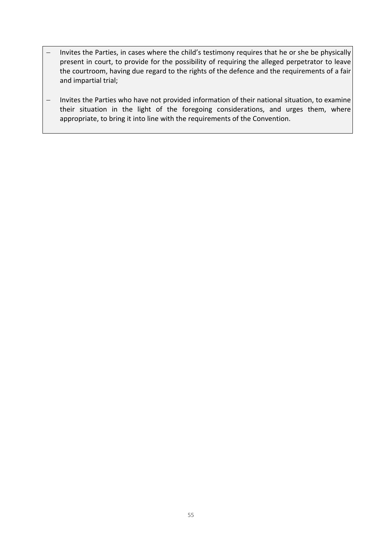- Invites the Parties, in cases where the child's testimony requires that he or she be physically present in court, to provide for the possibility of requiring the alleged perpetrator to leave the courtroom, having due regard to the rights of the defence and the requirements of a fair and impartial trial;
- Invites the Parties who have not provided information of their national situation, to examine their situation in the light of the foregoing considerations, and urges them, where appropriate, to bring it into line with the requirements of the Convention.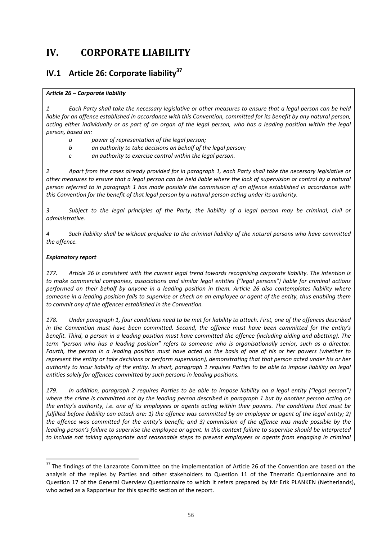## <span id="page-55-1"></span>**IV. CORPORATE LIABILITY**

## <span id="page-55-0"></span>**IV.1 Article 26: Corporate liability[37](#page-55-2)**

#### *Article 26 – Corporate liability*

*1 Each Party shall take the necessary legislative or other measures to ensure that a legal person can be held liable for an offence established in accordance with this Convention, committed for its benefit by any natural person,*  acting either individually or as part of an organ of the legal person, who has a leading position within the legal *person, based on:*

- *a power of representation of the legal person;*
- *b an authority to take decisions on behalf of the legal person;*
- *c an authority to exercise control within the legal person.*

*2 Apart from the cases already provided for in paragraph 1, each Party shall take the necessary legislative or other measures to ensure that a legal person can be held liable where the lack of supervision or control by a natural person referred to in paragraph 1 has made possible the commission of an offence established in accordance with this Convention for the benefit of that legal person by a natural person acting under its authority.*

*3 Subject to the legal principles of the Party, the liability of a legal person may be criminal, civil or administrative.* 

*4 Such liability shall be without prejudice to the criminal liability of the natural persons who have committed the offence.*

#### *Explanatory report*

 $\overline{a}$ 

*177. Article 26 is consistent with the current legal trend towards recognising corporate liability. The intention is to make commercial companies, associations and similar legal entities ("legal persons") liable for criminal actions performed on their behalf by anyone in a leading position in them. Article 26 also contemplates liability where someone in a leading position fails to supervise or check on an employee or agent of the entity, thus enabling them to commit any of the offences established in the Convention.*

*178. Under paragraph 1, four conditions need to be met for liability to attach. First, one of the offences described in the Convention must have been committed. Second, the offence must have been committed for the entity's benefit. Third, a person in a leading position must have committed the offence (including aiding and abetting). The term "person who has a leading position" refers to someone who is organisationally senior, such as a director. Fourth, the person in a leading position must have acted on the basis of one of his or her powers (whether to represent the entity or take decisions or perform supervision), demonstrating that that person acted under his or her authority to incur liability of the entity. In short, paragraph 1 requires Parties to be able to impose liability on legal entities solely for offences committed by such persons in leading positions.*

*179. In addition, paragraph 2 requires Parties to be able to impose liability on a legal entity ("legal person") where the crime is committed not by the leading person described in paragraph 1 but by another person acting on the entity's authority, i.e. one of its employees or agents acting within their powers. The conditions that must be fulfilled before liability can attach are: 1) the offence was committed by an employee or agent of the legal entity; 2) the offence was committed for the entity's benefit; and 3) commission of the offence was made possible by the leading person's failure to supervise the employee or agent. In this context failure to supervise should be interpreted to include not taking appropriate and reasonable steps to prevent employees or agents from engaging in criminal* 

<span id="page-55-2"></span><sup>&</sup>lt;sup>37</sup> The findings of the Lanzarote Committee on the implementation of Article 26 of the Convention are based on the analysis of the [replies](http://www.coe.int/t/dghl/standardsetting/children/T-ES(2014)13_bil_rev1_RepliesQuestion10TQAnd16GOQOnArticle18.pdf) by Parties and other stakeholders to Question 11 of the Thematic Questionnaire and to Question 17 of the General Overview Questionnaire to which it refers prepared by Mr Erik PLANKEN (Netherlands), who acted as a Rapporteur for this specific section of the report.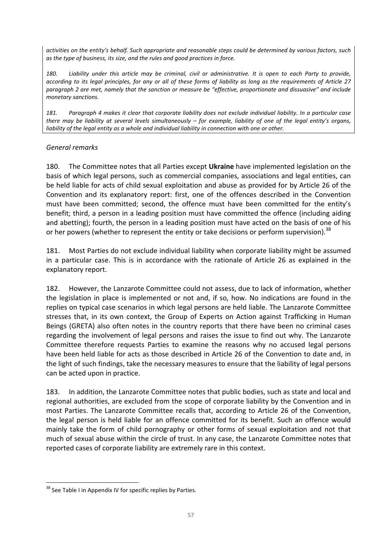*activities on the entity's behalf. Such appropriate and reasonable steps could be determined by various factors, such as the type of business, its size, and the rules and good practices in force.*

*180. Liability under this article may be criminal, civil or administrative. It is open to each Party to provide, according to its legal principles, for any or all of these forms of liability as long as the requirements of Article 27 paragraph 2 are met, namely that the sanction or measure be "effective, proportionate and dissuasive" and include monetary sanctions.*

*181. Paragraph 4 makes it clear that corporate liability does not exclude individual liability. In a particular case there may be liability at several levels simultaneously – for example, liability of one of the legal entity's organs, liability of the legal entity as a whole and individual liability in connection with one or other.*

### *General remarks*

180. The Committee notes that all Parties except **Ukraine** have implemented legislation on the basis of which legal persons, such as commercial companies, associations and legal entities, can be held liable for acts of child sexual exploitation and abuse as provided for by Article 26 of the Convention and its explanatory report: first, one of the offences described in the Convention must have been committed; second, the offence must have been committed for the entity's benefit; third, a person in a leading position must have committed the offence (including aiding and abetting); fourth, the person in a leading position must have acted on the basis of one of his or her powers (whether to represent the entity or take decisions or perform supervision).<sup>[38](#page-56-0)</sup>

181. Most Parties do not exclude individual liability when corporate liability might be assumed in a particular case. This is in accordance with the rationale of Article 26 as explained in the explanatory report.

182. However, the Lanzarote Committee could not assess, due to lack of information, whether the legislation in place is implemented or not and, if so, how. No indications are found in the replies on typical case scenarios in which legal persons are held liable. The Lanzarote Committee stresses that, in its own context, the Group of Experts on Action against Trafficking in Human Beings (GRETA) also often notes in the country reports that there have been no criminal cases regarding the involvement of legal persons and raises the issue to find out why. The Lanzarote Committee therefore requests Parties to examine the reasons why no accused legal persons have been held liable for acts as those described in Article 26 of the Convention to date and, in the light of such findings, take the necessary measures to ensure that the liability of legal persons can be acted upon in practice.

183. In addition, the Lanzarote Committee notes that public bodies, such as state and local and regional authorities, are excluded from the scope of corporate liability by the Convention and in most Parties. The Lanzarote Committee recalls that, according to Article 26 of the Convention, the legal person is held liable for an offence committed for its benefit. Such an offence would mainly take the form of child pornography or other forms of sexual exploitation and not that much of sexual abuse within the circle of trust. In any case, the Lanzarote Committee notes that reported cases of corporate liability are extremely rare in this context.

<u>.</u>

<span id="page-56-0"></span><sup>&</sup>lt;sup>38</sup> See Table I in Appendix IV for specific replies by Parties.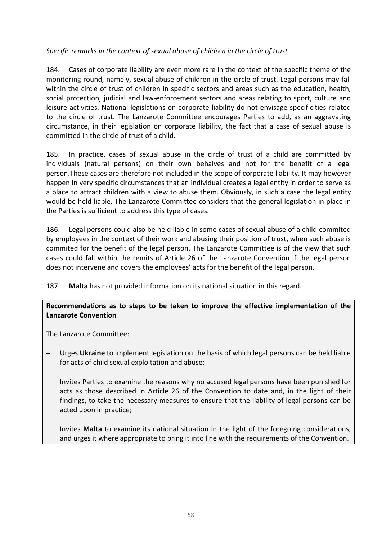## *Specific remarks in the context of sexual abuse of children in the circle of trust*

184. Cases of corporate liability are even more rare in the context of the specific theme of the monitoring round, namely, sexual abuse of children in the circle of trust. Legal persons may fall within the circle of trust of children in specific sectors and areas such as the education, health, social protection, judicial and law-enforcement sectors and areas relating to sport, culture and leisure activities. National legislations on corporate liability do not envisage specificities related to the circle of trust. The Lanzarote Committee encourages Parties to add, as an aggravating circumstance, in their legislation on corporate liability, the fact that a case of sexual abuse is committed in the circle of trust of a child.

185. In practice, cases of sexual abuse in the circle of trust of a child are committed by individuals (natural persons) on their own behalves and not for the benefit of a legal person.These cases are therefore not included in the scope of corporate liability. It may however happen in very specific circumstances that an individual creates a legal entity in order to serve as a place to attract children with a view to abuse them. Obviously, in such a case the legal entity would be held liable. The Lanzarote Committee considers that the general legislation in place in the Parties is sufficient to address this type of cases.

186. Legal persons could also be held liable in some cases of sexual abuse of a child commited by employees in the context of their work and abusing their position of trust, when such abuse is commited for the benefit of the legal person. The Lanzarote Committee is of the view that such cases could fall within the remits of Article 26 of the Lanzarote Convention if the legal person does not intervene and covers the employees' acts for the benefit of the legal person.

187. **Malta** has not provided information on its national situation in this regard.

## **Recommendations as to steps to be taken to improve the effective implementation of the Lanzarote Convention**

The Lanzarote Committee:

- Urges **Ukraine** to implement legislation on the basis of which legal persons can be held liable for acts of child sexual exploitation and abuse;
- Invites Parties to examine the reasons why no accused legal persons have been punished for acts as those described in Article 26 of the Convention to date and, in the light of their findings, to take the necessary measures to ensure that the liability of legal persons can be acted upon in practice;
- Invites **Malta** to examine its national situation in the light of the foregoing considerations, and urges it where appropriate to bring it into line with the requirements of the Convention.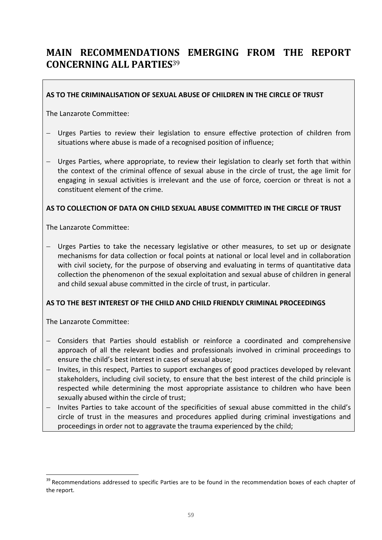## <span id="page-58-0"></span>**MAIN RECOMMENDATIONS EMERGING FROM THE REPORT CONCERNING ALL PARTIES**[39](#page-58-1)

## **AS TO THE CRIMINALISATION OF SEXUAL ABUSE OF CHILDREN IN THE CIRCLE OF TRUST**

The Lanzarote Committee:

- Urges Parties to review their legislation to ensure effective protection of children from situations where abuse is made of a recognised position of influence;
- Urges Parties, where appropriate, to review their legislation to clearly set forth that within the context of the criminal offence of sexual abuse in the circle of trust, the age limit for engaging in sexual activities is irrelevant and the use of force, coercion or threat is not a constituent element of the crime.

### **AS TO COLLECTION OF DATA ON CHILD SEXUAL ABUSE COMMITTED IN THE CIRCLE OF TRUST**

The Lanzarote Committee:

 Urges Parties to take the necessary legislative or other measures, to set up or designate mechanisms for data collection or focal points at national or local level and in collaboration with civil society, for the purpose of observing and evaluating in terms of quantitative data collection the phenomenon of the sexual exploitation and sexual abuse of children in general and child sexual abuse committed in the circle of trust, in particular.

## **AS TO THE BEST INTEREST OF THE CHILD AND CHILD FRIENDLY CRIMINAL PROCEEDINGS**

The Lanzarote Committee:

 $\overline{a}$ 

- Considers that Parties should establish or reinforce a coordinated and comprehensive approach of all the relevant bodies and professionals involved in criminal proceedings to ensure the child's best interest in cases of sexual abuse;
- Invites, in this respect, Parties to support exchanges of good practices developed by relevant stakeholders, including civil society, to ensure that the best interest of the child principle is respected while determining the most appropriate assistance to children who have been sexually abused within the circle of trust;
- Invites Parties to take account of the specificities of sexual abuse committed in the child's circle of trust in the measures and procedures applied during criminal investigations and proceedings in order not to aggravate the trauma experienced by the child;

<span id="page-58-1"></span><sup>&</sup>lt;sup>39</sup> Recommendations addressed to specific Parties are to be found in the recommendation boxes of each chapter of the report.